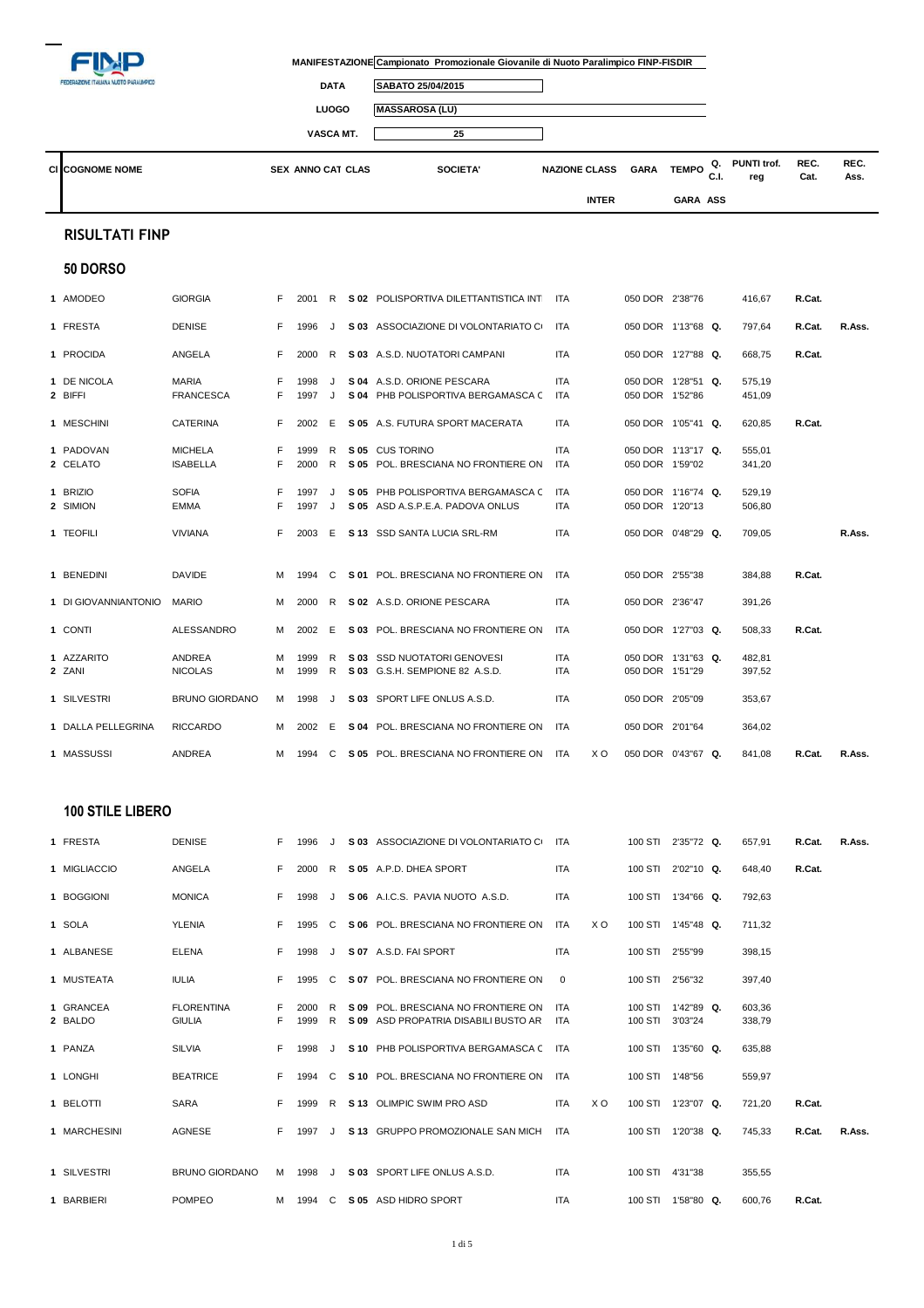|                                              |                                    |        |                          |              |      | MANIFESTAZIONE Campionato Promozionale Giovanile di Nuoto Paralimpico FINP-FISDIR |                      |              |                            |                 |            |                    |              |              |
|----------------------------------------------|------------------------------------|--------|--------------------------|--------------|------|-----------------------------------------------------------------------------------|----------------------|--------------|----------------------------|-----------------|------------|--------------------|--------------|--------------|
| <b>EDERAZIONE ITALIANA NUOTO PARALIMPICO</b> |                                    |        |                          | <b>DATA</b>  |      | SABATO 25/04/2015                                                                 |                      |              |                            |                 |            |                    |              |              |
|                                              |                                    |        |                          | <b>LUOGO</b> |      | <b>MASSAROSA (LU)</b>                                                             |                      |              |                            |                 |            |                    |              |              |
|                                              |                                    |        |                          | VASCA MT.    |      | 25                                                                                |                      |              |                            |                 |            |                    |              |              |
| <b>CI COGNOME NOME</b>                       |                                    |        | <b>SEX ANNO CAT CLAS</b> |              |      | <b>SOCIETA'</b>                                                                   | <b>NAZIONE CLASS</b> |              | <b>GARA</b>                | <b>TEMPO</b>    | Q.<br>C.I. | PUNTI trof.<br>reg | REC.<br>Cat. | REC.<br>Ass. |
|                                              |                                    |        |                          |              |      |                                                                                   |                      | <b>INTER</b> |                            | <b>GARA ASS</b> |            |                    |              |              |
| <b>RISULTATI FINP</b>                        |                                    |        |                          |              |      |                                                                                   |                      |              |                            |                 |            |                    |              |              |
| 50 DORSO                                     |                                    |        |                          |              |      |                                                                                   |                      |              |                            |                 |            |                    |              |              |
| 1 AMODEO                                     | <b>GIORGIA</b>                     | F.     | 2001                     | R            |      | S 02 POLISPORTIVA DILETTANTISTICA INT                                             | ITA                  |              | 050 DOR 2'38"76            |                 |            | 416,67             | R.Cat.       |              |
| 1 FRESTA                                     | <b>DENISE</b>                      | F.     | 1996                     | J            |      | S 03 ASSOCIAZIONE DI VOLONTARIATO CI                                              | <b>ITA</b>           |              | 050 DOR 1'13"68 Q.         |                 |            | 797,64             | R.Cat.       | R.Ass.       |
| 1 PROCIDA                                    | ANGELA                             | F.     | 2000                     | R            |      | S 03 A.S.D. NUOTATORI CAMPANI                                                     | <b>ITA</b>           |              | 050 DOR 1'27"88 Q.         |                 |            | 668,75             | R.Cat.       |              |
| 1 DE NICOLA                                  | <b>MARIA</b>                       | F      | 1998                     | J            |      | S 04 A.S.D. ORIONE PESCARA                                                        | <b>ITA</b>           |              | 050 DOR 1'28"51 Q.         |                 |            | 575,19             |              |              |
| 2 BIFFI                                      | <b>FRANCESCA</b>                   | F      | 1997                     | J            |      | S 04 PHB POLISPORTIVA BERGAMASCA C                                                | ITA                  |              | 050 DOR 1'52"86            |                 |            | 451,09             |              |              |
| 1 MESCHINI                                   | <b>CATERINA</b>                    | F.     | 2002                     | E            |      | S 05 A.S. FUTURA SPORT MACERATA                                                   | <b>ITA</b>           |              | 050 DOR 1'05"41 Q.         |                 |            | 620,85             | R.Cat.       |              |
| 1 PADOVAN                                    | <b>MICHELA</b>                     | F      | 1999                     | R            |      | S 05 CUS TORINO                                                                   | <b>ITA</b>           |              | 050 DOR 1'13"17 Q.         |                 |            | 555,01             |              |              |
| 2 CELATO                                     | <b>ISABELLA</b>                    | F      | 2000                     | R            |      | S 05 POL. BRESCIANA NO FRONTIERE ON                                               | ITA                  |              | 050 DOR 1'59"02            |                 |            | 341,20             |              |              |
| 1 BRIZIO                                     | <b>SOFIA</b>                       | F.     | 1997                     | J            |      | S 05 PHB POLISPORTIVA BERGAMASCA C                                                | <b>ITA</b>           |              | 050 DOR 1'16"74 Q.         |                 |            | 529,19             |              |              |
| 2 SIMION                                     | EMMA                               | F      | 1997                     | J            |      | S 05 ASD A.S.P.E.A. PADOVA ONLUS                                                  | ITA                  |              | 050 DOR 1'20"13            |                 |            | 506,80             |              |              |
| 1 TEOFILI                                    | <b>VIVIANA</b>                     | F.     | 2003                     | E            |      | S 13 SSD SANTA LUCIA SRL-RM                                                       | ITA                  |              | 050 DOR 0'48"29 Q.         |                 |            | 709,05             |              | R.Ass.       |
| 1 BENEDINI                                   | DAVIDE                             | М      | 1994                     | C            |      | S 01 POL. BRESCIANA NO FRONTIERE ON                                               | ITA                  |              | 050 DOR 2'55"38            |                 |            | 384,88             | R.Cat.       |              |
| 1 DI GIOVANNIANTONIO                         | <b>MARIO</b>                       | М      | 2000                     | R            |      | S 02 A.S.D. ORIONE PESCARA                                                        | <b>ITA</b>           |              | 050 DOR 2'36"47            |                 |            | 391,26             |              |              |
| 1 CONTI                                      | ALESSANDRO                         | М      | 2002                     | E.           |      | S 03 POL. BRESCIANA NO FRONTIERE ON                                               | <b>ITA</b>           |              | 050 DOR 1'27"03 Q.         |                 |            | 508,33             | R.Cat.       |              |
| 1 AZZARITO                                   | ANDREA                             | М      | 1999                     | R            |      | S 03 SSD NUOTATORI GENOVESI                                                       | <b>ITA</b>           |              | 050 DOR 1'31"63 Q.         |                 |            | 482,81             |              |              |
| 2 ZANI                                       | <b>NICOLAS</b>                     | M      | 1999                     | R            |      | S 03 G.S.H. SEMPIONE 82 A.S.D.                                                    | ITA                  |              | 050 DOR 1'51"29            |                 |            | 397,52             |              |              |
| 1 SILVESTRI                                  | <b>BRUNO GIORDANO</b>              | м      | 1998                     | J            |      | S 03 SPORT LIFE ONLUS A.S.D.                                                      | ITA                  |              | 050 DOR 2'05"09            |                 |            | 353,67             |              |              |
| 1 DALLA PELLEGRINA                           | <b>RICCARDO</b>                    | м      | 2002                     | E            |      | S 04 POL. BRESCIANA NO FRONTIERE ON                                               | ITA                  |              | 050 DOR 2'01"64            |                 |            | 364,02             |              |              |
| 1 MASSUSSI                                   | ANDREA                             | м      |                          |              |      | 1994 C S 05 POL. BRESCIANA NO FRONTIERE ON ITA                                    |                      | x o          | 050 DOR 0'43"67 Q.         |                 |            | 841,08             | R.Cat.       | R.Ass.       |
|                                              |                                    |        |                          |              |      |                                                                                   |                      |              |                            |                 |            |                    |              |              |
| <b>100 STILE LIBERO</b>                      |                                    |        |                          |              |      |                                                                                   |                      |              |                            |                 |            |                    |              |              |
| 1 FRESTA                                     | <b>DENISE</b>                      | F.     | 1996                     | J            |      | S 03 ASSOCIAZIONE DI VOLONTARIATO CI                                              | ITA                  |              | 100 STI 2'35"72 Q.         |                 |            | 657,91             | R.Cat.       | R.Ass.       |
| 1 MIGLIACCIO                                 | ANGELA                             | F.     | 2000                     | R            |      | S 05 A.P.D. DHEA SPORT                                                            | <b>ITA</b>           |              | 100 STI 2'02"10 Q.         |                 |            | 648,40             | R.Cat.       |              |
| 1 BOGGIONI                                   | <b>MONICA</b>                      | F.     | 1998                     | J            |      | S 06 A.I.C.S. PAVIA NUOTO A.S.D.                                                  | ITA                  |              | 100 STI 1'34"66 Q.         |                 |            | 792,63             |              |              |
| 1 SOLA                                       | YLENIA                             | F.     | 1995                     | C            |      | S 06 POL. BRESCIANA NO FRONTIERE ON                                               | ITA                  | X O          | 100 STI 1'45"48 Q.         |                 |            | 711,32             |              |              |
| 1 ALBANESE                                   | <b>ELENA</b>                       | F.     | 1998                     | J            |      | S 07 A.S.D. FAI SPORT                                                             | ITA                  |              | 100 STI                    | 2'55"99         |            | 398,15             |              |              |
| 1 MUSTEATA                                   | <b>IULIA</b>                       | F.     | 1995                     | C            |      | S 07 POL. BRESCIANA NO FRONTIERE ON                                               | 0                    |              | 100 STI                    | 2'56"32         |            | 397,40             |              |              |
| 1 GRANCEA<br>2 BALDO                         | <b>FLORENTINA</b><br><b>GIULIA</b> | F<br>F | 2000<br>1999             | R<br>R       | S 09 | POL. BRESCIANA NO FRONTIERE ON<br>S 09 ASD PROPATRIA DISABILI BUSTO AR            | ITA<br>ITA           |              | 100 STI<br>100 STI 3'03"24 | 1'42"89 Q.      |            | 603,36<br>338,79   |              |              |
| 1 PAN7A                                      | SIL VIA                            |        |                          |              |      | F 1998 I S.10 PHR POLISPORTIVA RERGAMASCA C ITA                                   |                      |              | 100 STI 1'35"60 Q          |                 |            | 635.88             |              |              |

| 1 PANZA      | <b>SILVIA</b>   | F. | 1998 |    | S 10 PHB POLISPORTIVA BERGAMASCA C    | <b>ITA</b> |     | 100 STI | $1'35''60$ Q. | 635.88 |        |        |
|--------------|-----------------|----|------|----|---------------------------------------|------------|-----|---------|---------------|--------|--------|--------|
| 1 LONGHI     | <b>BEATRICE</b> | F. | 1994 |    | C S 10 POL. BRESCIANA NO FRONTIERE ON | ITA        |     | 100 STI | 1'48"56       | 559.97 |        |        |
| 1 BELOTTI    | SARA            | F. | 1999 | R  | S 13 OLIMPIC SWIM PRO ASD             | <b>ITA</b> | X O | 100 STI | $1'23''07$ Q. | 721.20 | R.Cat. |        |
| 1 MARCHESINI | AGNESE          | F. | 1997 |    | S 13 GRUPPO PROMOZIONALE SAN MICH     | ITA        |     | 100 STI | 1'20"38 Q.    | 745.33 | R.Cat. | R.Ass. |
|              |                 |    |      |    |                                       |            |     |         |               |        |        |        |
| 1 SILVESTRI  | BRUNO GIORDANO  | м  | 1998 | J. | S 03 SPORT LIFE ONLUS A.S.D.          | <b>ITA</b> |     | 100 STI | 4'31"38       | 355.55 |        |        |
| BARBIERI     | <b>POMPEO</b>   | м  | 1994 | C. | S 05 ASD HIDRO SPORT                  | <b>ITA</b> |     | 100 STI | 1'58"80 Q.    | 600.76 | R.Cat. |        |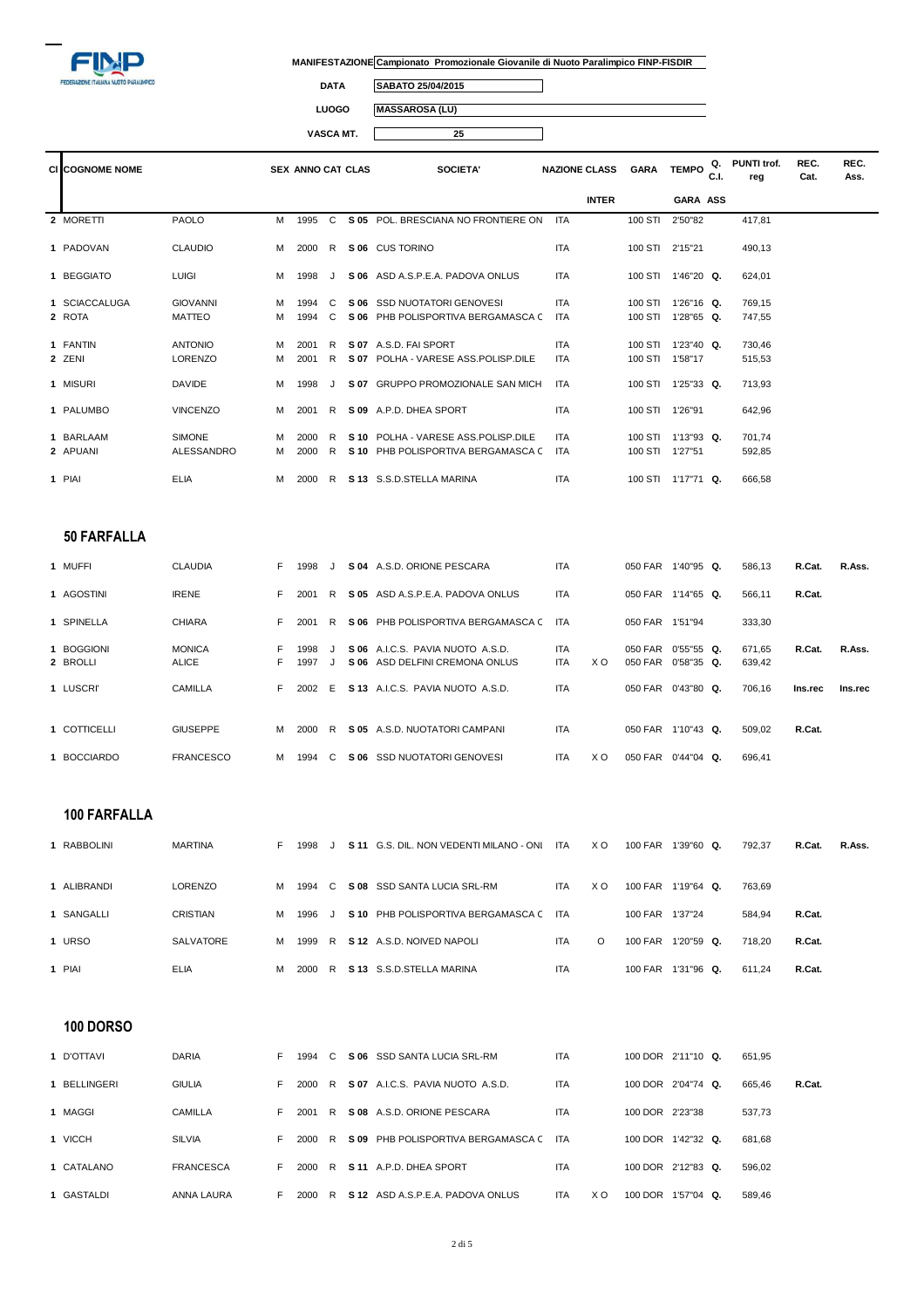

 $\overline{\mathbb{I}}$ 

**DATA SABATO 25/04/2015**

**LUOGO MASSAROSA (LU)**

**VASCA MT. 25**  $\Box$ 

| <b>CI COGNOME NOME</b> |                 |   | <b>SEX ANNO CAT CLAS</b> |              | <b>SOCIETA'</b>                       | <b>NAZIONE CLASS</b> | <b>GARA</b>     | <b>TEMPO</b>       | Q.<br>C.I. | PUNTI trof.<br>reg | REC.<br>Cat. | REC.<br>Ass. |
|------------------------|-----------------|---|--------------------------|--------------|---------------------------------------|----------------------|-----------------|--------------------|------------|--------------------|--------------|--------------|
|                        |                 |   |                          |              |                                       | <b>INTER</b>         |                 | GARA ASS           |            |                    |              |              |
| 2 MORETTI              | <b>PAOLO</b>    | м | 1995                     | $\mathbf{C}$ | S 05 POL. BRESCIANA NO FRONTIERE ON   | <b>ITA</b>           | 100 STI         | 2'50"82            |            | 417.81             |              |              |
| 1 PADOVAN              | <b>CLAUDIO</b>  | м | 2000                     | R.           | S 06 CUS TORINO                       | <b>ITA</b>           | 100 STI 2'15"21 |                    |            | 490.13             |              |              |
| 1 BEGGIATO             | <b>LUIGI</b>    | м | 1998                     | $\cdot$      | S 06 ASD A.S.P.E.A. PADOVA ONLUS      | <b>ITA</b>           |                 | 100 STI 1'46"20 Q. |            | 624,01             |              |              |
| 1 SCIACCALUGA          | <b>GIOVANNI</b> | м | 1994                     | C            | S 06 SSD NUOTATORI GENOVESI           | <b>ITA</b>           |                 | 100 STI 1'26"16 Q. |            | 769,15             |              |              |
| 2 ROTA                 | <b>MATTEO</b>   | м | 1994                     | C.           | S 06 PHB POLISPORTIVA BERGAMASCA C    | <b>ITA</b>           |                 | 100 STI 1'28"65 Q. |            | 747,55             |              |              |
| 1 FANTIN               | <b>ANTONIO</b>  | м | 2001                     | R.           | S 07 A.S.D. FAI SPORT                 | <b>ITA</b>           |                 | 100 STI 1'23"40 Q. |            | 730,46             |              |              |
| 2 ZENI                 | <b>LORENZO</b>  | м | 2001                     | R            | S 07 POLHA - VARESE ASS. POLISP. DILE | <b>ITA</b>           | 100 STI 1'58"17 |                    |            | 515,53             |              |              |
| 1 MISURI               | <b>DAVIDE</b>   | м | 1998                     |              | S 07 GRUPPO PROMOZIONALE SAN MICH     | <b>ITA</b>           |                 | 100 STI 1'25"33 Q. |            | 713,93             |              |              |
| 1 PALUMBO              | <b>VINCENZO</b> | м | 2001                     | R.           | S 09 A.P.D. DHEA SPORT                | <b>ITA</b>           | 100 STI 1'26"91 |                    |            | 642.96             |              |              |
| 1 BARLAAM              | <b>SIMONE</b>   | м | 2000                     | R.           | S 10 POLHA - VARESE ASS POLISP DILE   | <b>ITA</b>           | 100 STI         | $1'13''93$ Q.      |            | 701.74             |              |              |
| 2 APUANI               | ALESSANDRO      | м | 2000                     | R.           | S 10 PHB POLISPORTIVA BERGAMASCA C    | <b>ITA</b>           | 100 STI 1'27"51 |                    |            | 592,85             |              |              |
| 1 PIAI                 | <b>ELIA</b>     | м | 2000                     | R            | S 13 S.S.D.STELLA MARINA              | <b>ITA</b>           |                 | 100 STI 1'17"71 Q. |            | 666,58             |              |              |

### **50 FARFALLA**

| 1 MUFFI                | <b>CLAUDIA</b>                | F.       | 1998         |         |      | S 04 A.S.D. ORIONE PESCARA                                         | <b>ITA</b>               |     | 050 FAR                       | 1'40"95 Q.    | 586.13           | R.Cat.  | R.Ass.  |
|------------------------|-------------------------------|----------|--------------|---------|------|--------------------------------------------------------------------|--------------------------|-----|-------------------------------|---------------|------------------|---------|---------|
| 1 AGOSTINI             | <b>IRENE</b>                  | F.       | 2001         | R.      |      | S 05 ASD A.S.P.E.A. PADOVA ONLUS                                   | <b>ITA</b>               |     | 050 FAR                       | $1'14''65$ Q. | 566.11           | R.Cat.  |         |
| 1 SPINELLA             | <b>CHIARA</b>                 | F.       | 2001         | R       |      | S 06 PHB POLISPORTIVA BERGAMASCA C                                 | ITA                      |     | 050 FAR                       | 1'51"94       | 333,30           |         |         |
| 1 BOGGIONI<br>2 BROLLI | <b>MONICA</b><br><b>ALICE</b> | F.<br>F. | 1998<br>1997 | $\cdot$ |      | S 06 A.I.C.S. PAVIA NUOTO A.S.D.<br>S 06 ASD DELFINI CREMONA ONLUS | <b>ITA</b><br><b>ITA</b> | X O | 050 FAR 0'55"55 Q.<br>050 FAR | $0'58''35$ Q. | 671.65<br>639,42 | R.Cat.  | R.Ass.  |
| 1 LUSCRI'              | <b>CAMILLA</b>                | F.       | 2002         | - F     |      | S 13 A.I.C.S. PAVIA NUOTO A.S.D.                                   | <b>ITA</b>               |     | 050 FAR                       | $0'43''80$ Q. | 706.16           | Ins.rec | Ins.rec |
| 1 COTTICELLI           | <b>GIUSEPPE</b>               | м        | 2000         | R       |      | S 05 A.S.D. NUOTATORI CAMPANI                                      | <b>ITA</b>               |     | 050 FAR                       | $1'10''43$ Q. | 509,02           | R.Cat.  |         |
| 1 BOCCIARDO            | <b>FRANCESCO</b>              | м        | 1994         | C.      | S 06 | <b>SSD NUOTATORI GENOVESI</b>                                      | <b>ITA</b>               | X O | 050 FAR                       | $0'44''04$ Q. | 696.41           |         |         |

## **100 FARFALLA**

| RABBOLINI   | MARTINA     | Е. | 1998   |  | S 11 G.S. DIL. NON VEDENTI MILANO - ONI | ITA        | X O      | 100 FAR | $1'39''60$ Q. | 792.37 | R.Cat. | R.Ass. |
|-------------|-------------|----|--------|--|-----------------------------------------|------------|----------|---------|---------------|--------|--------|--------|
| I ALIBRANDI | LORENZO     | м  | 1994 C |  | S 08 SSD SANTA LUCIA SRL-RM             | <b>ITA</b> | X O      | 100 FAR | 1'19"64 Q.    | 763.69 |        |        |
| 1 SANGALLI  | CRISTIAN    | м  | 1996   |  | J S 10 PHB POLISPORTIVA BERGAMASCA C    | <b>ITA</b> |          | 100 FAR | 1'37"24       | 584.94 | R.Cat. |        |
| 1 URSO      | SALVATORE   | м  |        |  | 1999 R S 12 A.S.D. NOIVED NAPOLI        | <b>ITA</b> | $\Omega$ | 100 FAR | 1'20"59 Q.    | 718.20 | R.Cat. |        |
| 1 PIAI      | <b>ELIA</b> | м  | 2000 R |  | S 13 S.S.D.STELLA MARINA                | <b>ITA</b> |          | 100 FAR | 1'31"96 Q.    | 611.24 | R.Cat. |        |

## **100 DORSO**

| 1 D'OTTAVI   | <b>DARIA</b>     | F. | 1994 | C. |      | S 06 SSD SANTA LUCIA SRL-RM        | <b>ITA</b> |     | 100 DOR 2'11"10 Q. |               | 651.95 |        |
|--------------|------------------|----|------|----|------|------------------------------------|------------|-----|--------------------|---------------|--------|--------|
| 1 BELLINGERI | <b>GIULIA</b>    | F. | 2000 | R. | S 07 | A.I.C.S. PAVIA NUOTO A.S.D.        | <b>ITA</b> |     | 100 DOR 2'04"74 Q. |               | 665.46 | R.Cat. |
| 1 MAGGI      | CAMILLA          | F. | 2001 | R. |      | S 08 A.S.D. ORIONE PESCARA         | <b>ITA</b> |     | 100 DOR 2'23"38    |               | 537.73 |        |
| 1 VICCH      | SILVIA           | F. | 2000 | R. |      | S 09 PHB POLISPORTIVA BERGAMASCA C | <b>ITA</b> |     | 100 DOR            | 1'42"32 Q.    | 681.68 |        |
| 1 CATALANO   | <b>FRANCESCA</b> | F. | 2000 | R. |      | S 11 A.P.D. DHEA SPORT             | <b>ITA</b> |     | 100 DOR 2'12"83 Q. |               | 596.02 |        |
| 1 GASTALDI   | ANNA LAURA       | F. | 2000 |    |      | R S 12 ASD A.S.P.E.A. PADOVA ONLUS | <b>ITA</b> | X O | 100 DOR            | $1'57''04$ Q. | 589,46 |        |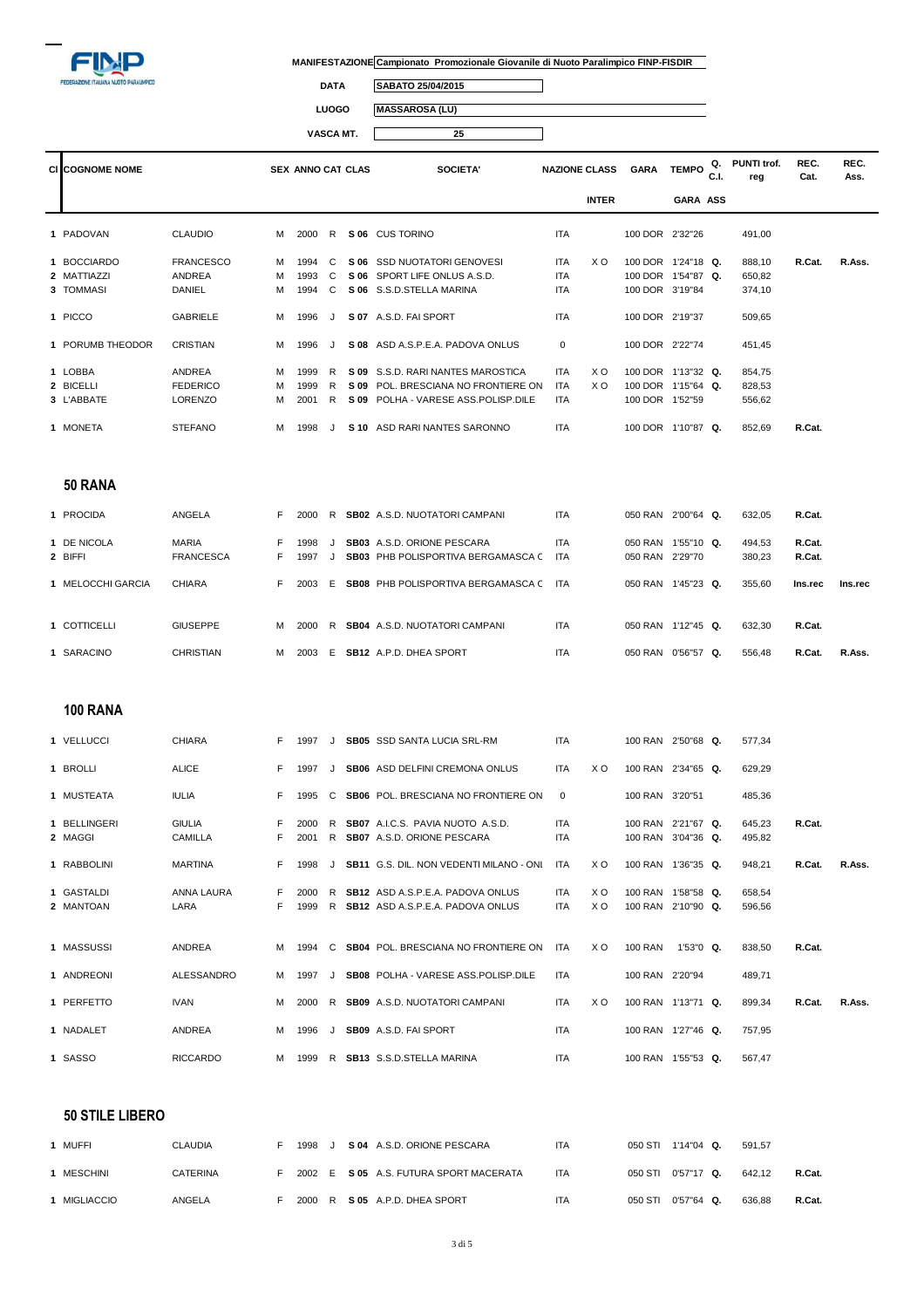

 $\overline{\mathbb{I}}$ 

 $\Box$ 

**DATA SABATO 25/04/2015**

**LUOGO MASSAROSA (LU)**

**VASCA MT. 25**

| <b>CI COGNOME NOME</b> |                  |    | <b>SEX ANNO CAT CLAS</b> |              |      | SOCIETA'                                  | <b>NAZIONE CLASS</b> |                | <b>GARA</b>        | <b>TEMPO</b>    | Q.<br>C.I. | <b>PUNTI trof.</b><br>reg | REC.<br>Cat. | REC.<br>Ass. |
|------------------------|------------------|----|--------------------------|--------------|------|-------------------------------------------|----------------------|----------------|--------------------|-----------------|------------|---------------------------|--------------|--------------|
|                        |                  |    |                          |              |      |                                           |                      | <b>INTER</b>   |                    | <b>GARA ASS</b> |            |                           |              |              |
| 1 PADOVAN              | <b>CLAUDIO</b>   | м  | 2000                     | R            |      | S 06 CUS TORINO                           | <b>ITA</b>           |                | 100 DOR 2'32"26    |                 |            | 491,00                    |              |              |
| 1 BOCCIARDO            | <b>FRANCESCO</b> | м  | 1994                     | C            |      | S 06 SSD NUOTATORI GENOVESI               | <b>ITA</b>           | X <sub>O</sub> | 100 DOR 1'24"18 Q. |                 |            | 888,10                    | R.Cat.       | R.Ass.       |
| 2 MATTIAZZI            | <b>ANDREA</b>    | м  | 1993                     | C            |      | S 06 SPORT LIFE ONLUS A.S.D.              | <b>ITA</b>           |                | 100 DOR 1'54"87 Q. |                 |            | 650,82                    |              |              |
| 3 TOMMASI              | DANIEL           | м  | 1994                     | C            |      | S 06 S.S.D.STELLA MARINA                  | ITA                  |                | 100 DOR 3'19"84    |                 |            | 374,10                    |              |              |
| 1 PICCO                | <b>GABRIELE</b>  | M  | 1996                     | J            |      | S 07 A.S.D. FAI SPORT                     | <b>ITA</b>           |                | 100 DOR 2'19"37    |                 |            | 509,65                    |              |              |
| 1 PORUMB THEODOR       | <b>CRISTIAN</b>  | м  | 1996                     | J            |      | S 08 ASD A.S.P.E.A. PADOVA ONLUS          | $\mathbf 0$          |                | 100 DOR 2'22"74    |                 |            | 451,45                    |              |              |
| 1 LOBBA                | ANDREA           | м  | 1999                     | R            |      | S 09 S.S.D. RARI NANTES MAROSTICA         | <b>ITA</b>           | X O            | 100 DOR 1'13"32 Q. |                 |            | 854,75                    |              |              |
| 2 BICELLI              | <b>FEDERICO</b>  | м  | 1999                     | R            | S 09 | POL. BRESCIANA NO FRONTIERE ON            | ITA                  | X O            | 100 DOR 1'15"64 Q. |                 |            | 828,53                    |              |              |
| 3 L'ABBATE             | <b>LORENZO</b>   | м  | 2001                     | $\mathsf{R}$ |      | S 09 POLHA - VARESE ASS. POLISP. DILE     | <b>ITA</b>           |                | 100 DOR 1'52"59    |                 |            | 556,62                    |              |              |
| 1 MONETA               | <b>STEFANO</b>   | м  | 1998                     | J            |      | S 10 ASD RARI NANTES SARONNO              | <b>ITA</b>           |                | 100 DOR 1'10"87 Q. |                 |            | 852.69                    | R.Cat.       |              |
| 50 RANA                |                  |    |                          |              |      |                                           |                      |                |                    |                 |            |                           |              |              |
| 1 PROCIDA              | ANGELA           | F. | 2000                     |              |      | R SB02 A.S.D. NUOTATORI CAMPANI           | <b>ITA</b>           |                | 050 RAN 2'00"64 Q. |                 |            | 632,05                    | R.Cat.       |              |
| 1 DE NICOLA            | <b>MARIA</b>     | F. | 1998                     | J            |      | SB03 A.S.D. ORIONE PESCARA                | <b>ITA</b>           |                | 050 RAN 1'55"10 Q. |                 |            | 494,53                    | R.Cat.       |              |
| 2 BIFFI                | <b>FRANCESCA</b> | F. | 1997                     | J            |      | SB03 PHB POLISPORTIVA BERGAMASCA C        | ITA                  |                | 050 RAN 2'29"70    |                 |            | 380,23                    | R.Cat.       |              |
| 1 MELOCCHI GARCIA      | <b>CHIARA</b>    | F. | 2003                     | Е            |      | <b>SB08 PHB POLISPORTIVA BERGAMASCA C</b> | ITA                  |                | 050 RAN 1'45"23 Q. |                 |            | 355,60                    | Ins.rec      | Ins.rec      |
| 1 COTTICELLI           | <b>GIUSEPPE</b>  | м  | 2000                     |              |      | R SB04 A.S.D. NUOTATORI CAMPANI           | <b>ITA</b>           |                | 050 RAN 1'12"45 Q. |                 |            | 632,30                    | R.Cat.       |              |
| 1 SARACINO             | <b>CHRISTIAN</b> | м  | 2003                     |              |      | E SB12 A.P.D. DHEA SPORT                  | <b>ITA</b>           |                | 050 RAN 0'56"57 Q. |                 |            | 556,48                    | R.Cat.       | R.Ass.       |
|                        |                  |    |                          |              |      |                                           |                      |                |                    |                 |            |                           |              |              |
| <b>100 RANA</b>        |                  |    |                          |              |      |                                           |                      |                |                    |                 |            |                           |              |              |

| 1 VELLUCCI              | <b>CHIARA</b>                   |    | 1997         |         | <b>SB05</b> SSD SANTA LUCIA SRL-RM                                          | <b>ITA</b>               |                | 100 RAN 2'50"68 Q.                       |           | 577,34           |        |        |
|-------------------------|---------------------------------|----|--------------|---------|-----------------------------------------------------------------------------|--------------------------|----------------|------------------------------------------|-----------|------------------|--------|--------|
| 1 BROLLI                | <b>ALICE</b>                    | F. | 1997         |         | <b>SB06</b> ASD DELFINI CREMONA ONLUS                                       | <b>ITA</b>               | X <sub>O</sub> | 100 RAN 2'34"65 Q.                       |           | 629.29           |        |        |
| 1 MUSTEATA              | <b>IULIA</b>                    | F. | 1995         | C.      | SB06 POL. BRESCIANA NO FRONTIERE ON                                         | 0                        |                | 100 RAN 3'20"51                          |           | 485,36           |        |        |
| 1 BELLINGERI<br>2 MAGGI | <b>GIULIA</b><br><b>CAMILLA</b> | F. | 2000<br>2001 | R<br>R. | SB07 A.I.C.S. PAVIA NUOTO A.S.D.<br><b>SB07</b> A.S.D. ORIONE PESCARA       | <b>ITA</b><br><b>ITA</b> |                | 100 RAN 2'21"67 Q.<br>100 RAN 3'04"36 Q. |           | 645,23<br>495,82 | R.Cat. |        |
| 1 RABBOLINI             | <b>MARTINA</b>                  | F. | 1998         |         | <b>SB11</b> G.S. DIL. NON VEDENTI MILANO - ONI                              | ITA                      | X O            | 100 RAN 1'36"35 Q.                       |           | 948,21           | R.Cat. | R.Ass. |
| 1 GASTALDI<br>2 MANTOAN | ANNA LAURA<br>LARA              | F. | 2000<br>1999 | R<br>R  | SB12 ASD A.S.P.E.A. PADOVA ONLUS<br><b>SB12</b> ASD A.S.P.E.A. PADOVA ONLUS | <b>ITA</b><br><b>ITA</b> | X O<br>X O     | 100 RAN 1'58"58 Q.<br>100 RAN 2'10"90 Q. |           | 658,54<br>596,56 |        |        |
| 1 MASSUSSI              | <b>ANDREA</b>                   | м  | 1994         | C       | <b>SB04 POL. BRESCIANA NO FRONTIERE ON</b>                                  | ITA                      | X O            | <b>100 RAN</b>                           | 1'53"0 Q. | 838.50           | R.Cat. |        |
| 1 ANDREONI              | ALESSANDRO                      | м  | 1997         |         | SB08 POLHA - VARESE ASS POLISP DILE                                         | <b>ITA</b>               |                | 100 RAN 2'20"94                          |           | 489.71           |        |        |
| 1 PERFETTO              | <b>IVAN</b>                     | м  | 2000         | R       | <b>SB09</b> A.S.D. NUOTATORI CAMPANI                                        | <b>ITA</b>               | X O            | 100 RAN 1'13"71 Q.                       |           | 899.34           | R.Cat. | R.Ass. |
| 1 NADALET               | <b>ANDREA</b>                   | M  | 1996         |         | SB09 A.S.D. FAI SPORT                                                       | <b>ITA</b>               |                | 100 RAN 1'27"46 Q.                       |           | 757,95           |        |        |
| 1 SASSO                 | <b>RICCARDO</b>                 | м  | 1999         | R.      | <b>SB13</b> S.S.D.STELLA MARINA                                             | <b>ITA</b>               |                | 100 RAN 1'55"53 Q.                       |           | 567.47           |        |        |

#### **50 STILE LIBERO**

| MUFFI      | CLAUDIA  | 1998   |  | S 04 A.S.D. ORIONE PESCARA             | <b>ITA</b> | 050 STI | $1'14''04$ Q. | 591.57 |        |
|------------|----------|--------|--|----------------------------------------|------------|---------|---------------|--------|--------|
| MESCHINI   | CATERINA |        |  | 2002 E S 05 A.S. FUTURA SPORT MACERATA | <b>ITA</b> | 050 STL | $0'57"17$ Q.  | 642.12 | R.Cat. |
| MIGLIACCIO | ANGELA   | 2000 R |  | S 05 A.P.D. DHEA SPORT                 | <b>ITA</b> | 050 STI | $0'57''64$ Q. | 636.88 | R.Cat. |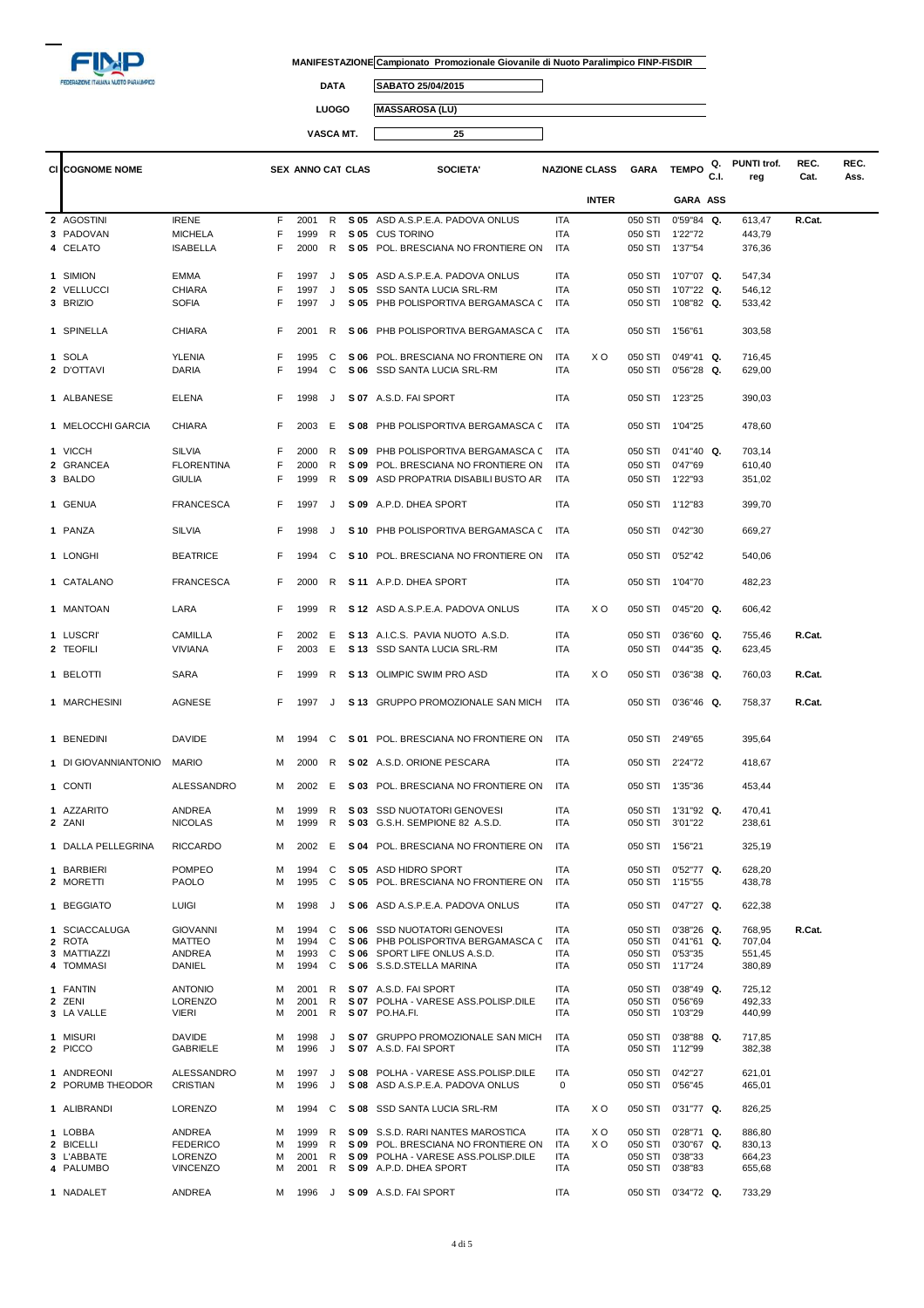

 $\overline{\mathbb{I}}$ 

**DATA SABATO 25/04/2015**

**LUOGO MASSAROSA (LU)**

|                         |                                  |        |                          | VASCA MT. |      | 25                                                                |            |                      |             |                                          |            |                    |              |              |
|-------------------------|----------------------------------|--------|--------------------------|-----------|------|-------------------------------------------------------------------|------------|----------------------|-------------|------------------------------------------|------------|--------------------|--------------|--------------|
| <b>CI COGNOME NOME</b>  |                                  |        | <b>SEX ANNO CAT CLAS</b> |           |      | <b>SOCIETA'</b>                                                   |            | <b>NAZIONE CLASS</b> | <b>GARA</b> | <b>TEMPO</b>                             | Q.<br>C.I. | PUNTI trof.<br>reg | REC.<br>Cat. | REC.<br>Ass. |
|                         |                                  |        |                          |           |      |                                                                   |            | <b>INTER</b>         |             | GARA ASS                                 |            |                    |              |              |
| 2 AGOSTINI              | <b>IRENE</b>                     | F      | 2001                     | R         |      | S 05 ASD A.S.P.E.A. PADOVA ONLUS                                  | <b>ITA</b> |                      | 050 STI     | $0'59''84$ Q.                            |            | 613,47             | R.Cat.       |              |
| 3 PADOVAN               | <b>MICHELA</b>                   | F      | 1999                     | R         |      | S 05 CUS TORINO                                                   | ITA        |                      |             | 050 STI 1'22"72                          |            | 443,79             |              |              |
| 4 CELATO                | <b>ISABELLA</b>                  | F      | 2000                     | R         |      | S 05 POL. BRESCIANA NO FRONTIERE ON                               | ITA        |                      |             | 050 STI 1'37"54                          |            | 376,36             |              |              |
| 1 SIMION                | EMMA                             | F      | 1997                     | J         | S 05 | ASD A.S.P.E.A. PADOVA ONLUS                                       | ITA        |                      | 050 STI     | 1'07"07 Q.                               |            | 547,34             |              |              |
| 2 VELLUCCI              | <b>CHIARA</b>                    | F      | 1997                     | J         | S 05 | SSD SANTA LUCIA SRL-RM                                            | ITA        |                      | 050 STI     | 1'07"22 Q.                               |            | 546,12             |              |              |
| 3 BRIZIO                | <b>SOFIA</b>                     | F      | 1997                     | J         | S 05 | PHB POLISPORTIVA BERGAMASCA C                                     | ITA        |                      |             | 050 STI 1'08"82 Q.                       |            | 533,42             |              |              |
| 1 SPINELLA              | CHIARA                           | F      | 2001                     | R         | S 06 | PHB POLISPORTIVA BERGAMASCA C                                     | <b>ITA</b> |                      | 050 STI     | 1'56"61                                  |            | 303,58             |              |              |
|                         |                                  |        |                          |           |      |                                                                   |            |                      |             |                                          |            |                    |              |              |
| 1 SOLA                  | YLENIA                           | F      | 1995                     | C         |      | S 06 POL. BRESCIANA NO FRONTIERE ON                               | ITA        | X O                  |             | 050 STI 0'49"41 Q.                       |            | 716,45             |              |              |
| 2 D'OTTAVI              | DARIA                            | F      | 1994                     | C         |      | S 06 SSD SANTA LUCIA SRL-RM                                       | ITA        |                      |             | 050 STI 0'56"28 Q.                       |            | 629,00             |              |              |
| 1 ALBANESE              | <b>ELENA</b>                     | F      | 1998                     | J         |      | S 07 A.S.D. FAI SPORT                                             | ITA        |                      |             | 050 STI 1'23"25                          |            | 390,03             |              |              |
| 1 MELOCCHI GARCIA       | <b>CHIARA</b>                    | F      | 2003                     | E         | S 08 | PHB POLISPORTIVA BERGAMASCA C                                     | <b>ITA</b> |                      |             | 050 STI 1'04"25                          |            | 478,60             |              |              |
| 1 VICCH                 | <b>SILVIA</b>                    | F      | 2000                     | R.        | S 09 | PHB POLISPORTIVA BERGAMASCA C                                     | <b>ITA</b> |                      | 050 STI     | $0'41''40$ Q.                            |            | 703,14             |              |              |
| 2 GRANCEA               | <b>FLORENTINA</b>                | F      | 2000                     | R         |      | S 09 POL. BRESCIANA NO FRONTIERE ON                               | ITA        |                      | 050 STI     | 0'47"69                                  |            | 610,40             |              |              |
| 3 BALDO                 | GIULIA                           | F      | 1999                     | R         |      | S 09 ASD PROPATRIA DISABILI BUSTO AR                              | <b>ITA</b> |                      |             | 050 STI 1'22"93                          |            | 351,02             |              |              |
| 1 GENUA                 | <b>FRANCESCA</b>                 | F      | 1997                     | J         |      | S 09 A.P.D. DHEA SPORT                                            | <b>ITA</b> |                      |             | 050 STI 1'12"83                          |            | 399,70             |              |              |
| 1 PANZA                 | <b>SILVIA</b>                    | F      | 1998                     | J         |      | S 10 PHB POLISPORTIVA BERGAMASCA C                                | <b>ITA</b> |                      |             | 050 STI 0'42"30                          |            | 669,27             |              |              |
| 1 LONGHI                | <b>BEATRICE</b>                  | F      | 1994                     | C         |      | S 10 POL. BRESCIANA NO FRONTIERE ON                               | <b>ITA</b> |                      |             | 050 STI 0'52"42                          |            | 540,06             |              |              |
| 1 CATALANO              | <b>FRANCESCA</b>                 | F      | 2000                     | R         |      | S 11 A.P.D. DHEA SPORT                                            | ITA        |                      |             | 050 STI 1'04"70                          |            | 482,23             |              |              |
| 1 MANTOAN               | LARA                             | F      | 1999                     | R         |      | S 12 ASD A.S.P.E.A. PADOVA ONLUS                                  | ITA        | X O                  | 050 STI     | $0'45"20$ Q.                             |            | 606,42             |              |              |
| 1 LUSCRI'               | <b>CAMILLA</b>                   | F      | 2002                     | E         |      | S 13 A.I.C.S. PAVIA NUOTO A.S.D.                                  | ITA        |                      | 050 STI     | $0'36''60$ Q.                            |            | 755,46             | R.Cat.       |              |
| 2 TEOFILI               | VIVIANA                          | F      | 2003                     | Е         |      | S 13 SSD SANTA LUCIA SRL-RM                                       | ITA        |                      | 050 STI     | $0'44''35$ Q.                            |            | 623,45             |              |              |
| 1 BELOTTI               | SARA                             | F      | 1999                     | R         |      | S 13 OLIMPIC SWIM PRO ASD                                         | <b>ITA</b> | X O                  | 050 STI     | $0'36''38$ Q.                            |            | 760,03             | R.Cat.       |              |
| 1 MARCHESINI            | AGNESE                           | F      | 1997                     | J         |      | S 13 GRUPPO PROMOZIONALE SAN MICH                                 | ITA        |                      | 050 STI     | $0'36''46$ Q.                            |            | 758,37             | R.Cat.       |              |
|                         |                                  |        |                          |           |      |                                                                   |            |                      |             |                                          |            |                    |              |              |
| 1 BENEDINI              | DAVIDE                           | м      | 1994                     | C         |      | S 01 POL. BRESCIANA NO FRONTIERE ON                               | ITA        |                      |             | 050 STI 2'49"65                          |            | 395,64             |              |              |
| 1 DI GIOVANNIANTONIO    | MARIO                            | м      | 2000                     | R         |      | S 02 A.S.D. ORIONE PESCARA                                        | ITA        |                      |             | 050 STI 2'24"72                          |            | 418,67             |              |              |
| 1 CONTI                 | ALESSANDRO                       | м      | 2002                     | E         |      | S 03 POL. BRESCIANA NO FRONTIERE ON                               | <b>ITA</b> |                      |             | 050 STI 1'35"36                          |            | 453,44             |              |              |
| 1 AZZARITO              | <b>ANDREA</b>                    | м      | 1999                     |           |      | R S 03 SSD NUOTATORI GENOVESI                                     | ITA        |                      |             | 050 STI 1'31"92 Q.                       |            | 470,41             |              |              |
| 2 ZANI                  | <b>NICOLAS</b>                   | м      | 1999                     |           |      | R S 03 G.S.H. SEMPIONE 82 A.S.D.                                  | ITA        |                      |             | 050 STI 3'01"22                          |            | 238,61             |              |              |
| 1 DALLA PELLEGRINA      | <b>RICCARDO</b>                  | м      | 2002                     | - E       |      | S 04 POL. BRESCIANA NO FRONTIERE ON                               | ITA        |                      |             | 050 STI 1'56"21                          |            | 325,19             |              |              |
| 1 BARBIERI<br>2 MORETTI | <b>POMPEO</b><br>PAOLO           | м<br>М | 1994<br>1995             | C<br>C    |      | S 05 ASD HIDRO SPORT<br>S 05 POL. BRESCIANA NO FRONTIERE ON       | ITA<br>ITA |                      | 050 STI     | $0'52''77$ Q.<br>050 STI 1'15"55         |            | 628,20<br>438,78   |              |              |
| 1 BEGGIATO              | LUIGI                            | м      | 1998                     | J         |      | S 06 ASD A.S.P.E.A. PADOVA ONLUS                                  | <b>ITA</b> |                      |             | 050 STI 0'47"27 Q.                       |            | 622,38             |              |              |
|                         |                                  |        |                          |           |      |                                                                   |            |                      |             |                                          |            |                    |              |              |
| 1 SCIACCALUGA<br>2 ROTA | <b>GIOVANNI</b><br><b>MATTEO</b> | М<br>M | 1994<br>1994             | C<br>C    |      | S 06 SSD NUOTATORI GENOVESI<br>S 06 PHB POLISPORTIVA BERGAMASCA C | ITA<br>ITA |                      |             | 050 STI 0'38"26 Q.<br>050 STI 0'41"61 Q. |            | 768,95<br>707,04   | R.Cat.       |              |
| 3 MATTIAZZI             | ANDREA                           | M      | 1993                     | C         |      | S 06 SPORT LIFE ONLUS A.S.D.                                      | ITA        |                      |             | 050 STI 0'53"35                          |            | 551,45             |              |              |
| 4 TOMMASI               | DANIEL                           | м      | 1994                     | C         |      | S 06 S.S.D.STELLA MARINA                                          | ITA        |                      |             | 050 STI 1'17"24                          |            | 380,89             |              |              |
| 1 FANTIN                | <b>ANTONIO</b>                   | М      | 2001                     | R.        |      | S 07 A.S.D. FAI SPORT                                             | ITA        |                      |             |                                          |            |                    |              |              |
| 2 ZENI                  | LORENZO                          | М      | 2001                     | R         |      | S 07 POLHA - VARESE ASS. POLISP. DILE                             | <b>ITA</b> |                      | 050 STI     | 050 STI 0'38"49 Q.<br>0'56"69            |            | 725,12<br>492,33   |              |              |
| 3 LA VALLE              | VIERI                            | М      | 2001                     | R         |      | S 07 PO.HA.FI.                                                    | ITA        |                      | 050 STI     | 1'03"29                                  |            | 440,99             |              |              |
| 1 MISURI                | DAVIDE                           | M      | 1998                     | J         |      | S 07 GRUPPO PROMOZIONALE SAN MICH                                 | ITA        |                      |             | 050 STI 0'38"88 Q.                       |            | 717,85             |              |              |
| 2 PICCO                 | GABRIELE                         | М      | 1996                     | J         |      | S 07 A.S.D. FAI SPORT                                             | ITA        |                      |             | 050 STI 1'12"99                          |            | 382,38             |              |              |
| 1 ANDREONI              | ALESSANDRO                       | м      | 1997                     | J         |      | S 08 POLHA - VARESE ASS. POLISP. DILE                             | ITA        |                      |             | 050 STI 0'42"27                          |            | 621,01             |              |              |
| 2 PORUMB THEODOR        | CRISTIAN                         | М      | 1996                     | J         |      | S 08 ASD A.S.P.E.A. PADOVA ONLUS                                  | 0          |                      |             | 050 STI 0'56"45                          |            | 465,01             |              |              |

 ALIBRANDI LORENZO M 1994 C **S 08** SSD SANTA LUCIA SRL-RM ITA X O 050 STI 0'31"77 **Q.** 826,25 LOBBA ANDREA M 1999 R **S 09** S.S.D. RARI NANTES MAROSTICA ITA X O 050 STI 0'28"71 **Q.** 886,80 2 BICELLI FEDERICO M 1999 R **S 09** POL. BRESCIANA NO FRONTIERE ON ITA X O 050 STI 0'30"67 **Q.** 830,13<br>3 L'ABBATE LORENZO M 2001 R **S 09** POLHA - VARESE ASS. NADALET ANDREA M 1996 J **S 09** A.S.D. FAI SPORT ITA 050 STI 0'34"72 **Q.** 733,29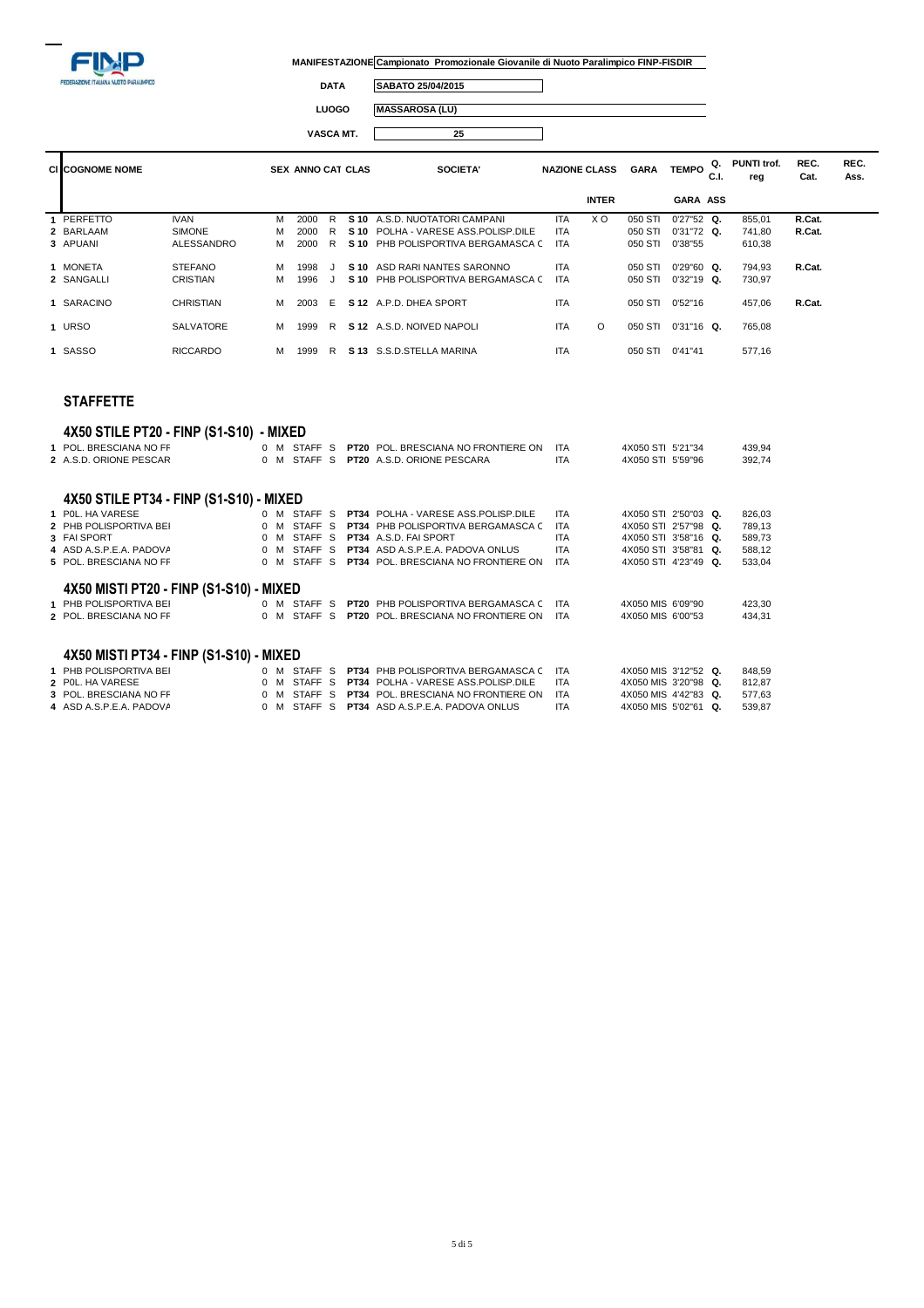

 $\Box$ 

┑

**DATA SABATO 25/04/2015**

**LUOGO MASSAROSA (LU)**

**VASCA MT. 25**

| <b>CI COGNOME NOME</b> |                  |   | <b>SEX ANNO CAT CLAS</b> |    |      | <b>SOCIETA'</b>                       | <b>NAZIONE CLASS</b> |              | <b>GARA</b> | <b>TEMPO</b>    | Q.<br>C.I. | <b>PUNTI trof.</b><br>reg | REC.<br>Cat. | REC.<br>Ass. |
|------------------------|------------------|---|--------------------------|----|------|---------------------------------------|----------------------|--------------|-------------|-----------------|------------|---------------------------|--------------|--------------|
|                        |                  |   |                          |    |      |                                       |                      | <b>INTER</b> |             | <b>GARA ASS</b> |            |                           |              |              |
| 1 PERFETTO             | <b>IVAN</b>      | м | 2000                     | R  | S 10 | A.S.D. NUOTATORI CAMPANI              | <b>ITA</b>           | X O          | 050 STI     | $0'27"52$ Q.    |            | 855.01                    | R.Cat.       |              |
| 2 BARLAAM              | <b>SIMONE</b>    | м | 2000                     | R  |      | S 10 POLHA - VARESE ASS. POLISP. DILE | <b>ITA</b>           |              | 050 STI     | $0'31''72$ Q.   |            | 741.80                    | R.Cat.       |              |
| 3 APUANI               | ALESSANDRO       | м | 2000                     | R. |      | S 10 PHB POLISPORTIVA BERGAMASCA C    | <b>ITA</b>           |              | 050 STI     | 0'38"55         |            | 610,38                    |              |              |
| 1 MONETA               | <b>STEFANO</b>   | м | 1998                     |    | S 10 | ASD RARI NANTES SARONNO               | <b>ITA</b>           |              | 050 STI     | $0'29''60$ Q.   |            | 794.93                    | R.Cat.       |              |
| 2 SANGALLI             | <b>CRISTIAN</b>  | м | 1996                     |    |      | S 10 PHB POLISPORTIVA BERGAMASCA C    | <b>ITA</b>           |              | 050 STI     | $0'32"19$ Q.    |            | 730,97                    |              |              |
| 1 SARACINO             | CHRISTIAN        | м | 2003                     | -F |      | S 12 A.P.D. DHEA SPORT                | <b>ITA</b>           |              | 050 STI     | 0'52"16         |            | 457.06                    | R.Cat.       |              |
| 1 URSO                 | <b>SALVATORE</b> | м | 1999                     | R  |      | S 12 A.S.D. NOIVED NAPOLI             | <b>ITA</b>           | O            | 050 STI     | $0'31''16$ Q.   |            | 765.08                    |              |              |

### **STAFFETTE**

## **4X50 STILE PT20 - FINP (S1-S10) - MIXED**

| 1 POL. BRESCIANA NO FF<br>2 A.S.D. ORIONE PESCAR                                      |                |          | 0 M STAFF S<br>0 M STAFF S |  | <b>PT20 POL. BRESCIANA NO FRONTIERE ON</b><br><b>PT20</b> A.S.D. ORIONE PESCARA           | ITA<br><b>ITA</b> | 4X050 STI 5'21"34<br>4X050 STI 5'59"96       |  | 439,94<br>392,74 |
|---------------------------------------------------------------------------------------|----------------|----------|----------------------------|--|-------------------------------------------------------------------------------------------|-------------------|----------------------------------------------|--|------------------|
| 4X50 STILE PT34 - FINP (S1-S10) - MIXED<br>1 POL. HA VARESE<br>2 PHB POLISPORTIVA BEI |                |          | 0 M STAFF S<br>0 M STAFF S |  | <b>PT34</b> POLHA - VARESE ASS. POLISP. DILE<br><b>PT34 PHB POLISPORTIVA BERGAMASCA C</b> | <b>ITA</b><br>ITA | 4X050 STI 2'50"03 Q.<br>4X050 STI 2'57"98 Q. |  | 826,03<br>789,13 |
| 3 FAI SPORT                                                                           |                | $0$ M    | STAFF <sub>S</sub>         |  | PT34 A.S.D. FAI SPORT                                                                     | <b>ITA</b>        | 4X050 STI 3'58"16 Q.                         |  | 589,73           |
| 4 ASD A.S.P.E.A. PADOVA                                                               |                |          | 0 M STAFF S                |  | <b>PT34</b> ASD A.S.P.E.A. PADOVA ONLUS                                                   | <b>ITA</b>        | 4X050 STI 3'58"81 Q.                         |  | 588,12           |
| 5 POL. BRESCIANA NO FF                                                                |                |          | 0 M STAFF S                |  | <b>PT34 POL. BRESCIANA NO FRONTIERE ON</b>                                                | <b>ITA</b>        | 4X050 STI 4'23"49 Q.                         |  | 533,04           |
| 4X50 MISTI PT20 - FINP (S1-S10) - MIXED                                               |                |          |                            |  |                                                                                           |                   |                                              |  |                  |
| 1 PHB POLISPORTIVA BEI                                                                |                |          | 0 M STAFF S                |  | <b>PT20 PHB POLISPORTIVA BERGAMASCA C</b>                                                 | <b>ITA</b>        | 4X050 MIS 6'09"90                            |  | 423,30           |
| 2 POL. BRESCIANA NO FF                                                                |                |          | 0 M STAFF S                |  | <b>PT20 POL. BRESCIANA NO FRONTIERE ON</b>                                                | <b>ITA</b>        | 4X050 MIS 6'00"53                            |  | 434,31           |
| 4X50 MISTI PT34 - FINP (S1-S10) - MIXED                                               |                |          |                            |  |                                                                                           |                   |                                              |  |                  |
| 1 PHB POLISPORTIVA BEI                                                                |                |          | 0 M STAFF S                |  | <b>PT34 PHB POLISPORTIVA BERGAMASCA C</b>                                                 | <b>ITA</b>        | 4X050 MIS 3'12"52 Q.                         |  | 848,59           |
| 2 POL. HA VARESE                                                                      |                | $0 \, M$ | STAFF <sub>S</sub>         |  | <b>PT34</b> POLHA - VARESE ASS.POLISP.DILE                                                | <b>ITA</b>        | 4X050 MIS 3'20"98 Q.                         |  | 812,87           |
| 3 POL. BRESCIANA NO FF                                                                |                | 0 M      | STAFF S                    |  | <b>PT34 POL. BRESCIANA NO FRONTIERE ON</b>                                                | ITA               | 4X050 MIS 4'42"83 Q.                         |  | 577,63           |
| 4 ASD A.S.P.E.A. PADOVA                                                               | $0 \mathsf{M}$ |          | STAFF <sub>S</sub>         |  | <b>PT34</b> ASD A.S.P.E.A. PADOVA ONLUS                                                   | <b>ITA</b>        | 4X050 MIS 5'02"61 Q.                         |  | 539,87           |

**1** SASSO RICCARDO M 1999 R **S 13** S.S.D.STELLA MARINA ITA 050 STI 0'41"41 577,16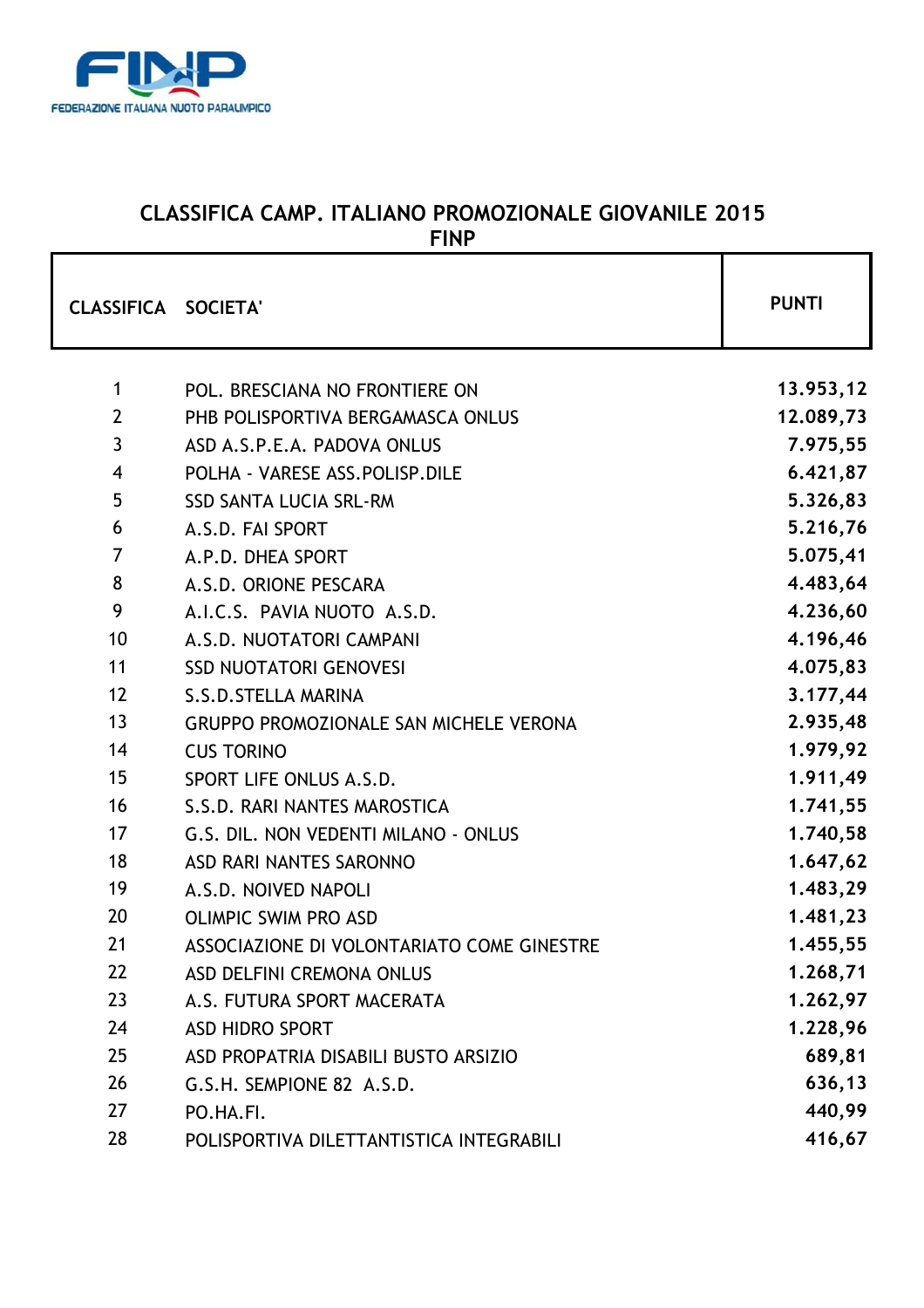

# **CLASSIFICA CAMP. ITALIANO PROMOZIONALE GIOVANILE 2015 FINP**

| <b>CLASSIFICA SOCIETA'</b> |                                               | <b>PUNTI</b> |
|----------------------------|-----------------------------------------------|--------------|
| $\mathbf{1}$               | POL. BRESCIANA NO FRONTIERE ON                | 13.953,12    |
| $\overline{2}$             | PHB POLISPORTIVA BERGAMASCA ONLUS             | 12.089,73    |
| $\overline{3}$             | ASD A.S.P.E.A. PADOVA ONLUS                   | 7.975,55     |
| $\overline{4}$             | POLHA - VARESE ASS. POLISP. DILE              | 6.421,87     |
| 5                          | <b>SSD SANTA LUCIA SRL-RM</b>                 | 5.326,83     |
| 6                          | A.S.D. FAI SPORT                              | 5.216,76     |
| $\overline{7}$             | A.P.D. DHEA SPORT                             | 5.075,41     |
| 8                          | A.S.D. ORIONE PESCARA                         | 4.483,64     |
| 9                          | A.I.C.S. PAVIA NUOTO A.S.D.                   | 4.236,60     |
| 10                         | A.S.D. NUOTATORI CAMPANI                      | 4.196,46     |
| 11                         | <b>SSD NUOTATORI GENOVESI</b>                 | 4.075,83     |
| 12                         | S.S.D.STELLA MARINA                           | 3.177,44     |
| 13                         | <b>GRUPPO PROMOZIONALE SAN MICHELE VERONA</b> | 2.935,48     |
| 14                         | <b>CUS TORINO</b>                             | 1.979,92     |
| 15                         | SPORT LIFE ONLUS A.S.D.                       | 1.911,49     |
| 16                         | S.S.D. RARI NANTES MAROSTICA                  | 1.741,55     |
| 17                         | G.S. DIL. NON VEDENTI MILANO - ONLUS          | 1.740,58     |
| 18                         | ASD RARI NANTES SARONNO                       | 1.647,62     |
| 19                         | A.S.D. NOIVED NAPOLI                          | 1.483,29     |
| 20                         | <b>OLIMPIC SWIM PRO ASD</b>                   | 1.481,23     |
| 21                         | ASSOCIAZIONE DI VOLONTARIATO COME GINESTRE    | 1.455,55     |
| 22                         | ASD DELFINI CREMONA ONLUS                     | 1.268,71     |
| 23                         | A.S. FUTURA SPORT MACERATA                    | 1.262,97     |
| 24                         | <b>ASD HIDRO SPORT</b>                        | 1.228,96     |
| 25                         | ASD PROPATRIA DISABILI BUSTO ARSIZIO          | 689,81       |
| 26                         | G.S.H. SEMPIONE 82 A.S.D.                     | 636,13       |
| 27                         | PO.HA.FI.                                     | 440,99       |
| 28                         | POLISPORTIVA DILETTANTISTICA INTEGRABILI      | 416,67       |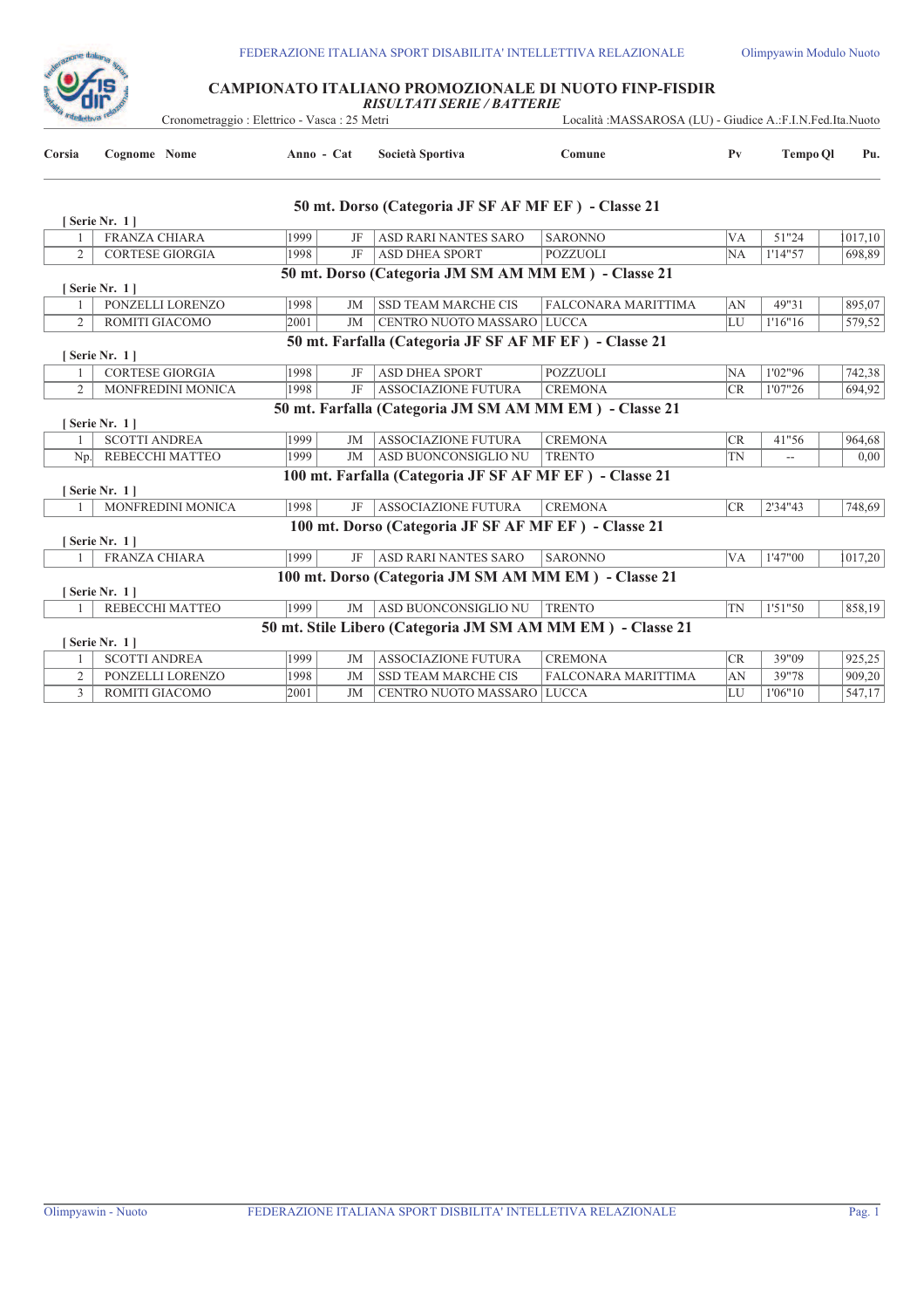

# **CAMPIONATO ITALIANO PROMOZIONALE DI NUOTO FINP-FISDIR** *RISULTATI SERIE / BATTERIE*

| "Melettiva re  |                        | Cronometraggio: Elettrico - Vasca: 25 Metri |           |                                                            | Località : MASSAROSA (LU) - Giudice A.: F.I.N. Fed. Ita. Nuoto |                |                 |         |
|----------------|------------------------|---------------------------------------------|-----------|------------------------------------------------------------|----------------------------------------------------------------|----------------|-----------------|---------|
| Corsia         | Cognome Nome           | Anno - Cat                                  |           | Società Sportiva                                           | Comune                                                         | P <sub>V</sub> | <b>Tempo QI</b> | Pu.     |
|                |                        |                                             |           | 50 mt. Dorso (Categoria JF SF AF MF EF) - Classe 21        |                                                                |                |                 |         |
|                | [Serie Nr. 1]          |                                             |           |                                                            |                                                                |                |                 |         |
|                | <b>FRANZA CHIARA</b>   | 1999                                        | JF        | ASD RARI NANTES SARO                                       | <b>SARONNO</b>                                                 | <b>VA</b>      | 51"24           | 1017,10 |
| 2              | <b>CORTESE GIORGIA</b> | 1998                                        | JF        | <b>ASD DHEA SPORT</b>                                      | <b>POZZUOLI</b>                                                | NA             | 1'14"57         | 698,89  |
|                | [Serie Nr. 1]          |                                             |           | 50 mt. Dorso (Categoria JM SM AM MM EM) - Classe 21        |                                                                |                |                 |         |
|                | PONZELLI LORENZO       | 1998                                        | JM        | <b>SSD TEAM MARCHE CIS</b>                                 | FALCONARA MARITTIMA                                            | AN             | 49"31           | 895,07  |
| 2              | ROMITI GIACOMO         | 2001                                        | JM        | CENTRO NUOTO MASSARO LUCCA                                 |                                                                | LU             | 1'16"16         | 579,52  |
|                |                        |                                             |           | 50 mt. Farfalla (Categoria JF SF AF MF EF) - Classe 21     |                                                                |                |                 |         |
|                | [Serie Nr. 1]          |                                             |           |                                                            |                                                                |                |                 |         |
|                | <b>CORTESE GIORGIA</b> | 1998                                        | JF        | <b>ASD DHEA SPORT</b>                                      | <b>POZZUOLI</b>                                                | NA             | 1'02"96         | 742,38  |
| $\overline{c}$ | MONFREDINI MONICA      | 1998                                        | JF        | ASSOCIAZIONE FUTURA                                        | <b>CREMONA</b>                                                 | CR             | 1'07"26         | 694,92  |
|                | [Serie Nr. 1]          |                                             |           | 50 mt. Farfalla (Categoria JM SM AM MM EM) - Classe 21     |                                                                |                |                 |         |
|                | <b>SCOTTI ANDREA</b>   | 1999                                        | JM        | <b>ASSOCIAZIONE FUTURA</b>                                 | <b>CREMONA</b>                                                 | <b>CR</b>      | 41"56           | 964,68  |
|                | Np. REBECCHI MATTEO    | 1999                                        | JM        | ASD BUONCONSIGLIO NU                                       | <b>TRENTO</b>                                                  | <b>TN</b>      |                 | 0.00    |
|                | [Serie Nr. 1]          |                                             |           | 100 mt. Farfalla (Categoria JF SF AF MF EF) - Classe 21    |                                                                |                |                 |         |
|                | MONFREDINI MONICA      | 1998                                        | JF        | <b>ASSOCIAZIONE FUTURA</b>                                 | <b>CREMONA</b>                                                 | CR             | 2'34"43         | 748,69  |
|                |                        |                                             |           | 100 mt. Dorso (Categoria JF SF AF MF EF) - Classe 21       |                                                                |                |                 |         |
|                | [Serie Nr. 1]          |                                             |           |                                                            |                                                                |                |                 |         |
|                | FRANZA CHIARA          | 1999                                        | JF        | ASD RARI NANTES SARO                                       | <b>SARONNO</b>                                                 | <b>VA</b>      | 1'47"00         | 1017,20 |
|                | [Serie Nr. 1]          |                                             |           | 100 mt. Dorso (Categoria JM SM AM MM EM) - Classe 21       |                                                                |                |                 |         |
|                | REBECCHI MATTEO        | 1999                                        | JM        | ASD BUONCONSIGLIO NU                                       | <b>TRENTO</b>                                                  | <b>TN</b>      | 1'51"50         | 858,19  |
|                |                        |                                             |           | 50 mt. Stile Libero (Categoria JM SM AM MM EM) - Classe 21 |                                                                |                |                 |         |
|                | [Serie Nr. 1]          |                                             |           |                                                            |                                                                |                |                 |         |
|                | <b>SCOTTI ANDREA</b>   | 1999                                        | <b>JM</b> | <b>ASSOCIAZIONE FUTURA</b>                                 | <b>CREMONA</b>                                                 | <b>CR</b>      | 39"09           | 925,25  |
| $\overline{c}$ | PONZELLI LORENZO       | 1998                                        | JM        | <b>SSD TEAM MARCHE CIS</b>                                 | FALCONARA MARITTIMA                                            | AN             | 39"78           | 909,20  |
| 3              | ROMITI GIACOMO         | 2001                                        | JM        | CENTRO NUOTO MASSARO LUCCA                                 |                                                                | LU             | 1'06"10         | 547,17  |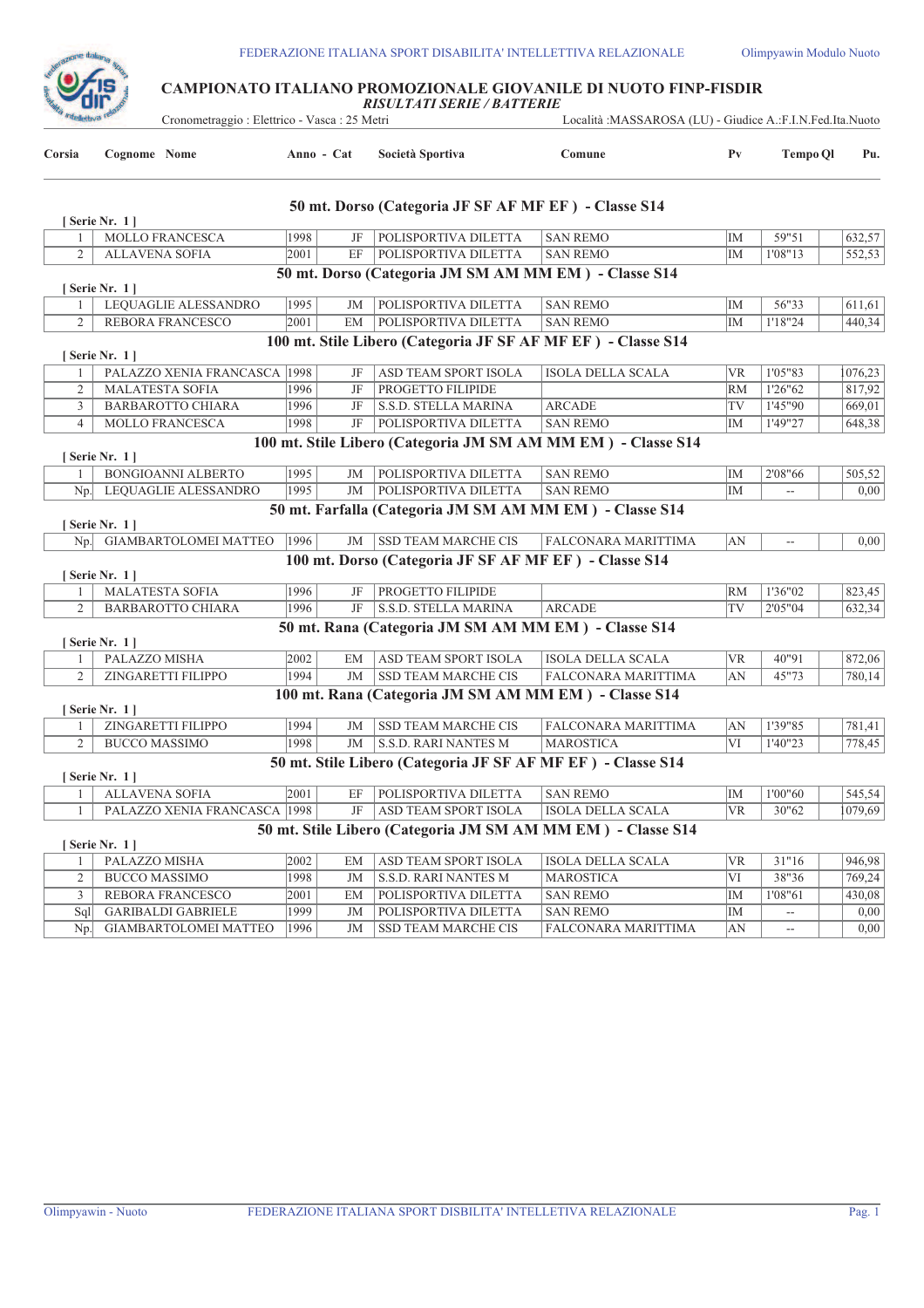

# **CAMPIONATO ITALIANO PROMOZIONALE GIOVANILE DI NUOTO FINP-FISDIR** *RISULTATI SERIE / BATTERIE*

Cronometraggio : Elettrico - Vasca : 25 Metri Località :MASSAROSA (LU) - Giudice A.:F.I.N.Fed.Ita.Nuoto

|                | Cronometraggio : Elettrico - vasca : 25 metri |            |    |                                                              | LOCANIA :MASSAROSA (LU) - GIUGICE A.:F.I.N.FeG.Ita.Nuoto     |                |                                               |         |
|----------------|-----------------------------------------------|------------|----|--------------------------------------------------------------|--------------------------------------------------------------|----------------|-----------------------------------------------|---------|
| Corsia         | Cognome Nome                                  | Anno - Cat |    | Società Sportiva                                             | Comune                                                       | P <sub>V</sub> | <b>Tempo Ql</b>                               | Pu.     |
|                |                                               |            |    | 50 mt. Dorso (Categoria JF SF AF MF EF) - Classe S14         |                                                              |                |                                               |         |
| 1              | [Serie Nr. 1]<br>MOLLO FRANCESCA              | 1998       | JF | POLISPORTIVA DILETTA                                         | <b>SAN REMO</b>                                              | IM             | 59"51                                         | 632,57  |
| $\overline{2}$ | <b>ALLAVENA SOFIA</b>                         | 2001       | EF | POLISPORTIVA DILETTA                                         | <b>SAN REMO</b>                                              | IM             | 1'08"13                                       | 552,53  |
|                |                                               |            |    | 50 mt. Dorso (Categoria JM SM AM MM EM) - Classe S14         |                                                              |                |                                               |         |
|                | [Serie Nr. 1]                                 |            |    |                                                              |                                                              |                |                                               |         |
| 1              | LEQUAGLIE ALESSANDRO                          | 1995       | JM | POLISPORTIVA DILETTA                                         | <b>SAN REMO</b>                                              | IM             | 56"33                                         | 611,61  |
| 2              | REBORA FRANCESCO                              | 2001       | EM | POLISPORTIVA DILETTA                                         | <b>SAN REMO</b>                                              | IM             | 1'18"24                                       | 440,34  |
|                | [Serie Nr. 1]                                 |            |    | 100 mt. Stile Libero (Categoria JF SF AF MF EF) - Classe S14 |                                                              |                |                                               |         |
|                | PALAZZO XENIA FRANCASCA 1998                  |            | JF | ASD TEAM SPORT ISOLA                                         | ISOLA DELLA SCALA                                            | <b>VR</b>      | 1'05"83                                       | 1076,23 |
| $\overline{2}$ | <b>MALATESTA SOFIA</b>                        | 1996       | JF | PROGETTO FILIPIDE                                            |                                                              | <b>RM</b>      | 1'26"62                                       | 817,92  |
| 3              | BARBAROTTO CHIARA                             | 1996       | JF | S.S.D. STELLA MARINA                                         | <b>ARCADE</b>                                                | TV             | 1'45"90                                       | 669,01  |
| $\overline{4}$ | MOLLO FRANCESCA                               | 1998       | JF | POLISPORTIVA DILETTA                                         | <b>SAN REMO</b>                                              | IM             | 1'49"27                                       | 648.38  |
|                | [ Serie Nr. 1 ]                               |            |    |                                                              | 100 mt. Stile Libero (Categoria JM SM AM MM EM) - Classe S14 |                |                                               |         |
| 1              | BONGIOANNI ALBERTO                            | 1995       | JM | POLISPORTIVA DILETTA                                         | <b>SAN REMO</b>                                              | IM             | 2'08"66                                       | 505,52  |
|                | Np. LEQUAGLIE ALESSANDRO                      | 1995       | JM | POLISPORTIVA DILETTA                                         | <b>SAN REMO</b>                                              | IM             | $\overline{a}$                                | 0,00    |
|                |                                               |            |    | 50 mt. Farfalla (Categoria JM SM AM MM EM) - Classe S14      |                                                              |                |                                               |         |
|                | [Serie Nr. 1]                                 |            |    |                                                              |                                                              |                |                                               |         |
|                | Np. GIAMBARTOLOMEI MATTEO                     | 1996       | JM | <b>SSD TEAM MARCHE CIS</b>                                   | FALCONARA MARITTIMA                                          | AN             | $\overline{a}$                                | 0,00    |
|                | [Serie Nr. 1]                                 |            |    | 100 mt. Dorso (Categoria JF SF AF MF EF) - Classe S14        |                                                              |                |                                               |         |
| 1              | <b>MALATESTA SOFIA</b>                        | 1996       | JF | PROGETTO FILIPIDE                                            |                                                              | <b>RM</b>      | 1'36"02                                       | 823,45  |
| $\overline{2}$ | BARBAROTTO CHIARA                             | 1996       | JF | S.S.D. STELLA MARINA                                         | <b>ARCADE</b>                                                | TV             | 2'05"04                                       | 632,34  |
|                | [Serie Nr. 1]                                 |            |    | 50 mt. Rana (Categoria JM SM AM MM EM) - Classe S14          |                                                              |                |                                               |         |
| 1              | PALAZZO MISHA                                 | 2002       | EM | ASD TEAM SPORT ISOLA                                         | <b>ISOLA DELLA SCALA</b>                                     | <b>VR</b>      | 40"91                                         | 872,06  |
| 2              | ZINGARETTI FILIPPO                            | 1994       | JM | <b>SSD TEAM MARCHE CIS</b>                                   | FALCONARA MARITTIMA                                          | AN             | 45"73                                         | 780,14  |
|                |                                               |            |    | 100 mt. Rana (Categoria JM SM AM MM EM) - Classe S14         |                                                              |                |                                               |         |
|                | [Serie Nr. 1]                                 |            |    |                                                              |                                                              |                |                                               |         |
| 1              | ZINGARETTI FILIPPO                            | 1994       | JM | <b>SSD TEAM MARCHE CIS</b>                                   | FALCONARA MARITTIMA                                          | AN             | 1'39"85                                       | 781,41  |
| 2              | <b>BUCCO MASSIMO</b>                          | 1998       | JM | <b>S.S.D. RARI NANTES M</b>                                  | <b>MAROSTICA</b>                                             | VI             | 1'40"23                                       | 778,45  |
|                |                                               |            |    | 50 mt. Stile Libero (Categoria JF SF AF MF EF) - Classe S14  |                                                              |                |                                               |         |
|                | [Serie Nr. 1]<br><b>ALLAVENA SOFIA</b>        | 2001       | EF | POLISPORTIVA DILETTA                                         | <b>SAN REMO</b>                                              | IM             | 1'00"60                                       | 545,54  |
| 1<br>1         | PALAZZO XENIA FRANCASCA 1998                  |            | JF | ASD TEAM SPORT ISOLA                                         | <b>ISOLA DELLA SCALA</b>                                     | <b>VR</b>      | 30"62                                         | 1079,69 |
|                |                                               |            |    |                                                              | 50 mt. Stile Libero (Categoria JM SM AM MM EM) - Classe S14  |                |                                               |         |
|                | [Serie Nr. 1]                                 |            |    |                                                              |                                                              |                |                                               |         |
| 1              | PALAZZO MISHA                                 | 2002       | EM | ASD TEAM SPORT ISOLA                                         | ISOLA DELLA SCALA                                            | <b>VR</b>      | 31"16                                         | 946,98  |
| 2              | <b>BUCCO MASSIMO</b>                          | 1998       | JM | S.S.D. RARI NANTES M                                         | <b>MAROSTICA</b>                                             | VI             | 38"36                                         | 769,24  |
| 3              | REBORA FRANCESCO                              | 2001       | EM | POLISPORTIVA DILETTA                                         | <b>SAN REMO</b>                                              | IM             | 1'08"61                                       | 430,08  |
| Sql            | <b>GARIBALDI GABRIELE</b>                     | 1999       | JM | POLISPORTIVA DILETTA                                         | <b>SAN REMO</b>                                              | IM             | $\mathord{\hspace{1pt}\text{--}\hspace{1pt}}$ | 0,00    |
| Np.            | GIAMBARTOLOMEI MATTEO                         | 1996       | JM | SSD TEAM MARCHE CIS                                          | FALCONARA MARITTIMA                                          | AN             | $\mathord{\hspace{1pt}\text{--}\hspace{1pt}}$ | 0,00    |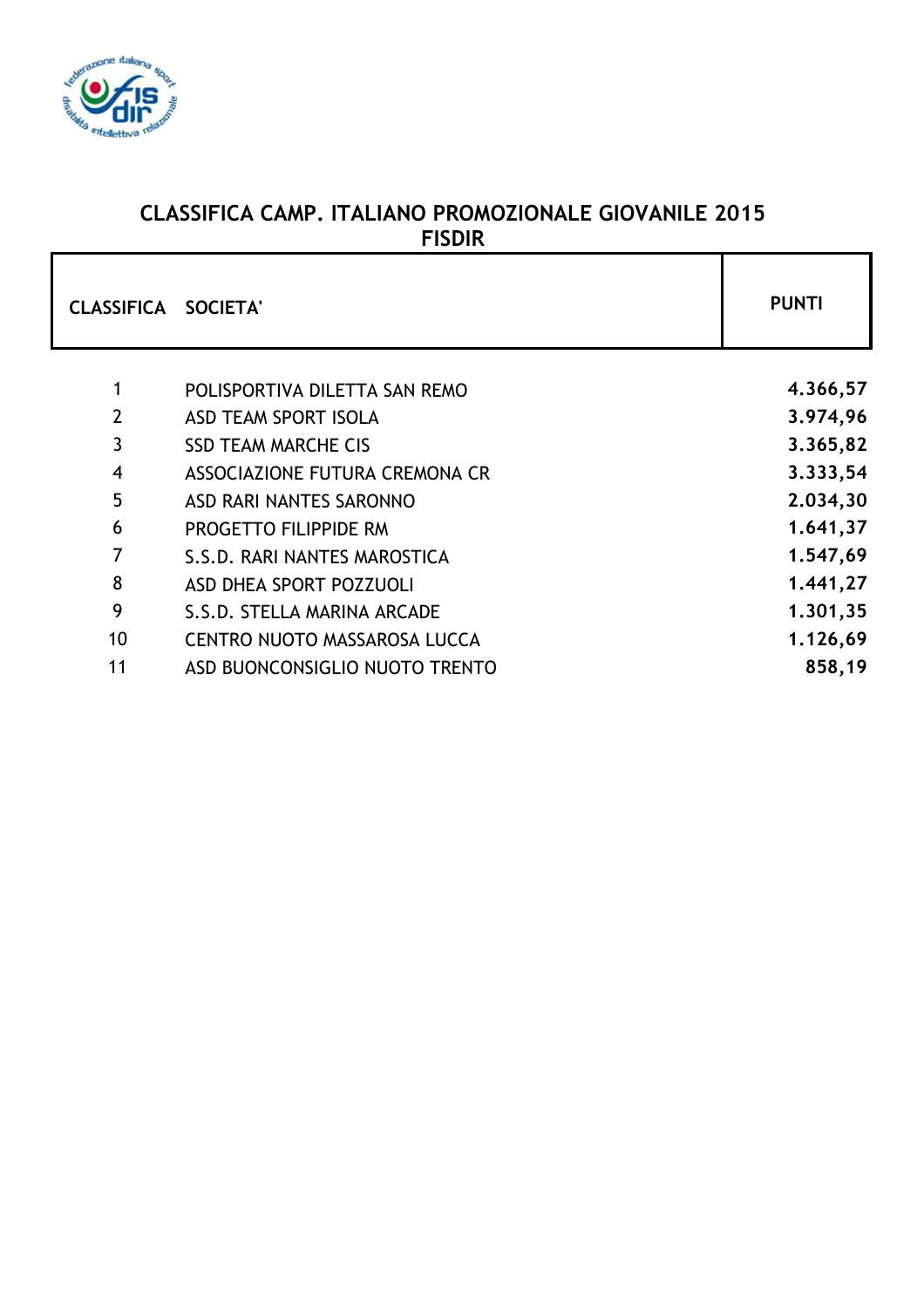

# **CLASSIFICA CAMP. ITALIANO PROMOZIONALE GIOVANILE 2015 FISDIR**

| <b>CLASSIFICA SOCIETA'</b> |                                | <b>PUNTI</b> |
|----------------------------|--------------------------------|--------------|
| 1                          | POLISPORTIVA DILETTA SAN REMO  | 4.366,57     |
| $\overline{2}$             | <b>ASD TEAM SPORT ISOLA</b>    | 3.974,96     |
| 3                          | <b>SSD TEAM MARCHE CIS</b>     | 3.365,82     |
| 4                          | ASSOCIAZIONE FUTURA CREMONA CR | 3.333,54     |
| 5                          | ASD RARI NANTES SARONNO        | 2.034,30     |
| 6                          | PROGETTO FILIPPIDE RM          | 1.641,37     |
| 7                          | S.S.D. RARI NANTES MAROSTICA   | 1.547,69     |
| 8                          | <b>ASD DHEA SPORT POZZUOLI</b> | 1.441,27     |
| 9                          | S.S.D. STELLA MARINA ARCADE    | 1.301,35     |
| 10                         | CENTRO NUOTO MASSAROSA LUCCA   | 1.126,69     |
| 11                         | ASD BUONCONSIGLIO NUOTO TRENTO | 858,19       |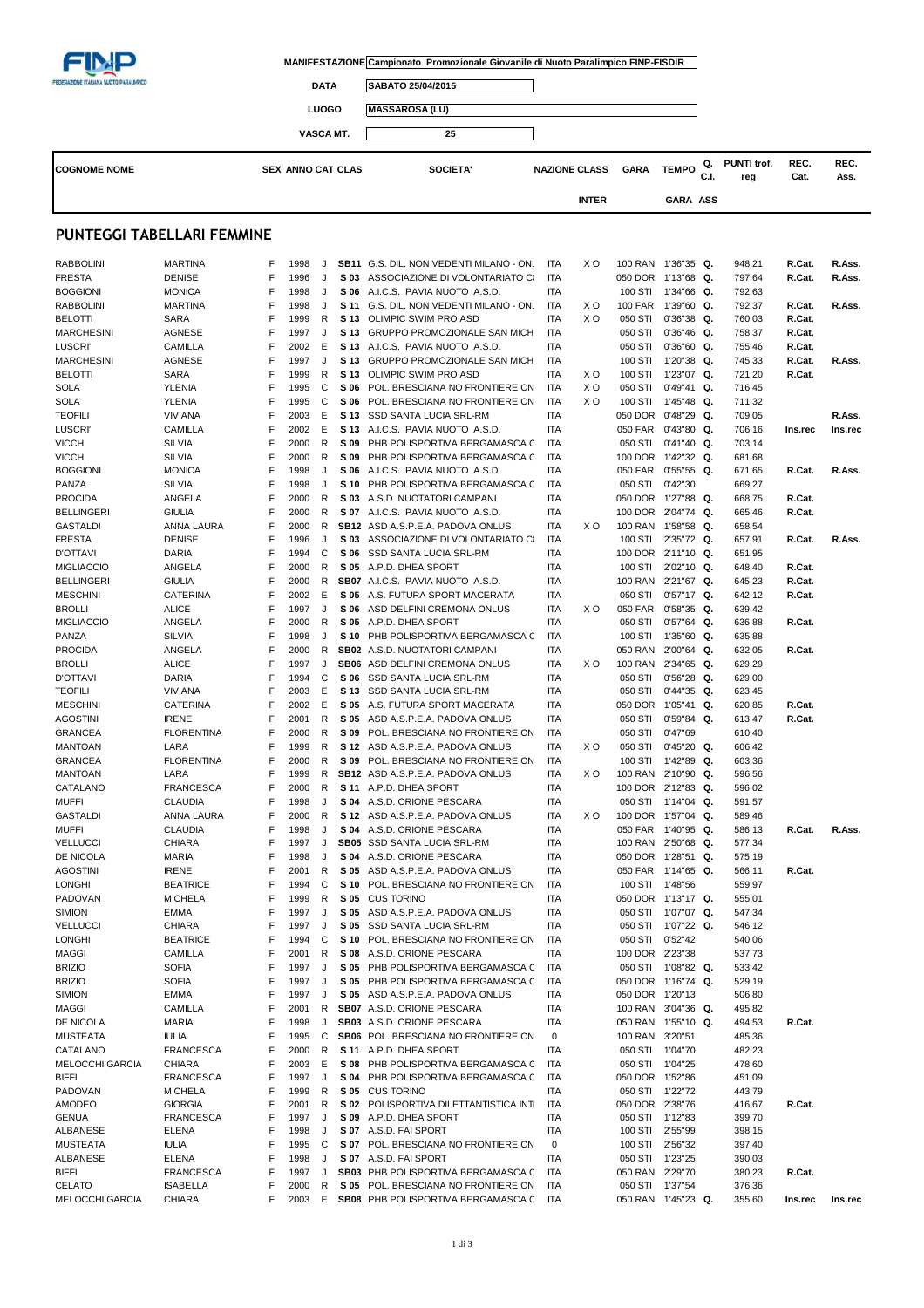|                                               |                                    |        |                          |                   |              | MANIFESTAZIONE Campionato Promozionale Giovanile di Nuoto Paralimpico FINP-FISDIR |                          |                      |                                          |                                |            |                    |                  |                   |
|-----------------------------------------------|------------------------------------|--------|--------------------------|-------------------|--------------|-----------------------------------------------------------------------------------|--------------------------|----------------------|------------------------------------------|--------------------------------|------------|--------------------|------------------|-------------------|
| <b>FEDERAZIONE ITALIANA NUOTO PARALIMPICO</b> |                                    |        |                          | <b>DATA</b>       |              | SABATO 25/04/2015                                                                 |                          |                      |                                          |                                |            |                    |                  |                   |
|                                               |                                    |        |                          | <b>LUOGO</b>      |              | <b>MASSAROSA (LU)</b>                                                             |                          |                      |                                          |                                |            |                    |                  |                   |
|                                               |                                    |        |                          | <b>VASCA MT.</b>  |              | 25                                                                                |                          |                      |                                          |                                |            |                    |                  |                   |
|                                               |                                    |        |                          |                   |              |                                                                                   |                          |                      |                                          |                                |            |                    |                  |                   |
| <b>COGNOME NOME</b>                           |                                    |        | <b>SEX ANNO CAT CLAS</b> |                   |              | <b>SOCIETA'</b>                                                                   |                          | <b>NAZIONE CLASS</b> | <b>GARA</b>                              | <b>TEMPO</b>                   | Q.<br>C.I. | PUNTI trof.<br>reg | REC.<br>Cat.     | REC.<br>Ass.      |
|                                               |                                    |        |                          |                   |              |                                                                                   |                          | <b>INTER</b>         |                                          | GARA ASS                       |            |                    |                  |                   |
|                                               |                                    |        |                          |                   |              |                                                                                   |                          |                      |                                          |                                |            |                    |                  |                   |
| PUNTEGGI TABELLARI FEMMINE                    |                                    |        |                          |                   |              |                                                                                   |                          |                      |                                          |                                |            |                    |                  |                   |
| <b>RABBOLINI</b>                              | <b>MARTINA</b>                     | F      | 1998                     | J                 |              | SB11 G.S. DIL. NON VEDENTI MILANO - ONI                                           | ITA                      | xо                   | 100 RAN 1'36"35 Q.                       |                                |            | 948,21             | R.Cat.           | R.Ass.            |
| <b>FRESTA</b>                                 | <b>DENISE</b>                      | F      | 1996                     | J                 | S 03         | ASSOCIAZIONE DI VOLONTARIATO CI                                                   | ITA                      |                      | 050 DOR 1'13"68 Q.                       |                                |            | 797,64             | R.Cat.           | R.Ass.            |
| <b>BOGGIONI</b><br><b>RABBOLINI</b>           | <b>MONICA</b><br><b>MARTINA</b>    | F<br>F | 1998<br>1998             | J<br>J            | S 06<br>S 11 | A.I.C.S. PAVIA NUOTO A.S.D.<br>G.S. DIL. NON VEDENTI MILANO - ONI                 | <b>ITA</b><br>ITA        | xо                   | 100 STI<br>100 FAR 1'39"60 Q.            | 1'34"66 Q.                     |            | 792,63<br>792,37   | R.Cat.           | R.Ass.            |
| <b>BELOTTI</b>                                | <b>SARA</b>                        | F      | 1999                     | R                 | S 13         | OLIMPIC SWIM PRO ASD                                                              | <b>ITA</b>               | X O                  | 050 STI                                  | $0'36''38$ Q.                  |            | 760,03             | R.Cat.           |                   |
| <b>MARCHESINI</b>                             | <b>AGNESE</b>                      | F      | 1997                     | J                 | S 13         | GRUPPO PROMOZIONALE SAN MICH                                                      | ITA                      |                      | 050 STI                                  | $0'36''46$ Q.                  |            | 758,37             | R.Cat.           |                   |
| <b>LUSCRI</b><br><b>MARCHESINI</b>            | CAMILLA<br><b>AGNESE</b>           | F<br>F | 2002<br>1997             | Е<br>J            | S 13<br>S 13 | A.I.C.S. PAVIA NUOTO A.S.D.<br>GRUPPO PROMOZIONALE SAN MICH                       | ITA<br>ITA               |                      | 050 STI<br>100 STI                       | $0'36''60$ Q.<br>1'20"38 Q.    |            | 755,46<br>745,33   | R.Cat.<br>R.Cat. | R.Ass.            |
| BELOTTI                                       | <b>SARA</b>                        | F      | 1999                     | R                 | S 13         | OLIMPIC SWIM PRO ASD                                                              | ITA                      | xо                   | 100 STI                                  | 1'23"07 Q.                     |            | 721,20             | R.Cat.           |                   |
| SOLA                                          | YLENIA                             | F      | 1995                     | C                 | S 06         | POL. BRESCIANA NO FRONTIERE ON                                                    | <b>ITA</b>               | xо                   | 050 STI                                  | $0'49''41$ Q.                  |            | 716,45             |                  |                   |
| <b>SOLA</b>                                   | YLENIA                             | F      | 1995                     | C                 | S 06         | POL. BRESCIANA NO FRONTIERE ON                                                    | <b>ITA</b>               | xо                   | 100 STI                                  | 1'45"48 Q.                     |            | 711,32             |                  |                   |
| <b>TEOFILI</b><br><b>LUSCRI</b>               | <b>VIVIANA</b><br>CAMILLA          | F<br>F | 2003<br>2002             | E<br>E            | S 13<br>S 13 | SSD SANTA LUCIA SRL-RM<br>A.I.C.S. PAVIA NUOTO A.S.D.                             | <b>ITA</b><br><b>ITA</b> |                      | 050 DOR<br>050 FAR                       | 0'48"29 Q.<br>$0'43''80$ Q.    |            | 709,05<br>706,16   | Ins.rec          | R.Ass.<br>Ins.rec |
| <b>VICCH</b>                                  | <b>SILVIA</b>                      | F      | 2000                     | R                 | S 09         | PHB POLISPORTIVA BERGAMASCA C                                                     | ITA                      |                      | 050 STI                                  | $0'41''40$ Q.                  |            | 703,14             |                  |                   |
| <b>VICCH</b>                                  | <b>SILVIA</b>                      | F      | 2000                     | R                 | S 09         | PHB POLISPORTIVA BERGAMASCA C                                                     | ITA                      |                      | 100 DOR 1'42"32 Q.                       |                                |            | 681,68             |                  |                   |
| <b>BOGGIONI</b><br>PANZA                      | <b>MONICA</b><br><b>SILVIA</b>     | F<br>F | 1998<br>1998             | J<br>J            | S 06<br>S 10 | A.I.C.S. PAVIA NUOTO A.S.D.<br>PHB POLISPORTIVA BERGAMASCA C                      | <b>ITA</b><br>ITA        |                      | 050 FAR<br>050 STI                       | $0'55"55$ Q.<br>0'42"30        |            | 671,65<br>669,27   | R.Cat.           | R.Ass.            |
| <b>PROCIDA</b>                                | ANGELA                             | F      | 2000                     | R                 | S 03         | A.S.D. NUOTATORI CAMPANI                                                          | <b>ITA</b>               |                      | 050 DOR 1'27"88 Q.                       |                                |            | 668,75             | R.Cat.           |                   |
| <b>BELLINGERI</b>                             | <b>GIULIA</b>                      | F      | 2000                     | R                 | S 07         | A.I.C.S. PAVIA NUOTO A.S.D.                                                       | ITA                      |                      | 100 DOR                                  | 2'04"74 Q.                     |            | 665,46             | R.Cat.           |                   |
| <b>GASTALDI</b>                               | ANNA LAURA                         | F      | 2000                     | R                 |              | <b>SB12</b> ASD A.S.P.E.A. PADOVA ONLUS                                           | <b>ITA</b>               | xо                   | 100 RAN                                  | 1'58"58 Q.                     |            | 658,54             |                  |                   |
| <b>FRESTA</b><br><b>D'OTTAVI</b>              | <b>DENISE</b><br>DARIA             | F<br>F | 1996<br>1994             | J<br>C            | S 03<br>S 06 | ASSOCIAZIONE DI VOLONTARIATO CI<br>SSD SANTA LUCIA SRL-RM                         | <b>ITA</b><br><b>ITA</b> |                      | 100 STI<br>100 DOR 2'11"10 Q.            | 2'35"72 Q.                     |            | 657,91<br>651,95   | R.Cat.           | R.Ass.            |
| <b>MIGLIACCIO</b>                             | ANGELA                             | F      | 2000                     | R                 | S 05         | A.P.D. DHEA SPORT                                                                 | ITA                      |                      | 100 STI                                  | 2'02"10 Q.                     |            | 648,40             | R.Cat.           |                   |
| <b>BELLINGERI</b>                             | <b>GIULIA</b>                      | F      | 2000                     | R                 |              | SB07 A.I.C.S. PAVIA NUOTO A.S.D.                                                  | <b>ITA</b>               |                      | 100 RAN                                  | 2'21"67 Q.                     |            | 645,23             | R.Cat.           |                   |
| <b>MESCHINI</b>                               | CATERINA                           | F<br>F | 2002                     | E                 | S 05         | A.S. FUTURA SPORT MACERATA                                                        | ITA                      |                      | 050 STI                                  | $0'57"17$ Q.                   |            | 642,12             | R.Cat.           |                   |
| <b>BROLLI</b><br><b>MIGLIACCIO</b>            | <b>ALICE</b><br>ANGELA             | F      | 1997<br>2000             | J<br>R            | S 06<br>S 05 | ASD DELFINI CREMONA ONLUS<br>A.P.D. DHEA SPORT                                    | <b>ITA</b><br><b>ITA</b> | xо                   | 050 FAR<br>050 STI                       | $0'58''35$ Q.<br>$0'57''64$ Q. |            | 639,42<br>636,88   | R.Cat.           |                   |
| PANZA                                         | <b>SILVIA</b>                      | F      | 1998                     | J                 | S 10         | PHB POLISPORTIVA BERGAMASCA C                                                     | ITA                      |                      | 100 STI                                  | 1'35"60 Q.                     |            | 635,88             |                  |                   |
| <b>PROCIDA</b>                                | ANGELA                             | F      | 2000                     | R                 |              | SB02 A.S.D. NUOTATORI CAMPANI                                                     | ITA                      |                      | 050 RAN                                  | 2'00"64 Q.                     |            | 632,05             | R.Cat.           |                   |
| <b>BROLLI</b><br><b>D'OTTAVI</b>              | <b>ALICE</b><br>DARIA              | F<br>F | 1997<br>1994             | J<br>C            | SB06<br>S 06 | ASD DELFINI CREMONA ONLUS<br>SSD SANTA LUCIA SRL-RM                               | <b>ITA</b><br><b>ITA</b> | xо                   | 100 RAN<br>050 STI                       | 2'34"65 Q.<br>$0'56''28$ Q.    |            | 629,29<br>629,00   |                  |                   |
| <b>TEOFILI</b>                                | <b>VIVIANA</b>                     | F      | 2003                     | Е                 | S 13         | SSD SANTA LUCIA SRL-RM                                                            | ITA                      |                      | 050 STI                                  | $0'44''35$ Q.                  |            | 623,45             |                  |                   |
| <b>MESCHINI</b>                               | CATERINA                           | F      | 2002                     | Е                 | S 05         | A.S. FUTURA SPORT MACERATA                                                        | ITA                      |                      | 050 DOR 1'05"41 Q.                       |                                |            | 620,85             | R.Cat.           |                   |
| <b>AGOSTINI</b>                               | <b>IRENE</b><br><b>FLORENTINA</b>  | F<br>F | 2001<br>2000             | R<br>R            | S 05         | ASD A.S.P.E.A. PADOVA ONLUS                                                       | ITA                      |                      | 050 STI                                  | $0'59''84$ Q.<br>0'47"69       |            | 613,47             | R.Cat.           |                   |
| GRANCEA<br><b>MANTOAN</b>                     | LARA                               | F      | 1999                     | R                 |              | S 09 POL. BRESCIANA NO FRONTIERE ON<br>S 12 ASD A.S.P.E.A. PADOVA ONLUS           | ITA<br><b>ITA</b>        | X O                  | 050 STI<br>050 STI                       | $0'45''20$ Q.                  |            | 610,40<br>606,42   |                  |                   |
| <b>GRANCEA</b>                                | <b>FLORENTINA</b>                  | F      | 2000                     | R                 |              | S 09 POL. BRESCIANA NO FRONTIERE ON                                               | ITA                      |                      | 100 STI 1'42"89 Q.                       |                                |            | 603,36             |                  |                   |
| <b>MANTOAN</b>                                | LARA                               | F      | 1999                     | R                 |              | SB12 ASD A.S.P.E.A. PADOVA ONLUS                                                  | <b>ITA</b>               | X O                  | 100 RAN 2'10"90 Q.                       |                                |            | 596,56             |                  |                   |
| CATALANO<br><b>MUFFI</b>                      | <b>FRANCESCA</b><br><b>CLAUDIA</b> | F<br>F | 2000<br>1998             | R<br>J            |              | S 11 A.P.D. DHEA SPORT<br>S 04 A.S.D. ORIONE PESCARA                              | <b>ITA</b><br><b>ITA</b> |                      | 100 DOR 2'12"83 Q.<br>050 STI 1'14"04 Q. |                                |            | 596,02<br>591,57   |                  |                   |
| <b>GASTALDI</b>                               | <b>ANNA LAURA</b>                  | F      | 2000                     | R                 |              | S 12 ASD A.S.P.E.A. PADOVA ONLUS                                                  | <b>ITA</b>               | xо                   | 100 DOR 1'57"04 Q.                       |                                |            | 589,46             |                  |                   |
| <b>MUFFI</b>                                  | <b>CLAUDIA</b>                     | F      | 1998                     | J                 |              | S 04 A.S.D. ORIONE PESCARA                                                        | <b>ITA</b>               |                      | 050 FAR 1'40"95 Q.                       |                                |            | 586,13             | R.Cat.           | R.Ass.            |
| <b>VELLUCCI</b>                               | <b>CHIARA</b>                      | F      | 1997                     | J                 |              | SB05 SSD SANTA LUCIA SRL-RM<br>S 04 A.S.D. ORIONE PESCARA                         | <b>ITA</b>               |                      | 100 RAN                                  | 2'50"68 Q.                     |            | 577,34             |                  |                   |
| DE NICOLA<br><b>AGOSTINI</b>                  | <b>MARIA</b><br><b>IRENE</b>       | F<br>F | 1998<br>2001             | J<br>$\mathsf{R}$ | S 05         | ASD A.S.P.E.A. PADOVA ONLUS                                                       | <b>ITA</b><br><b>ITA</b> |                      | 050 DOR 1'28"51 Q.<br>050 FAR 1'14"65 Q. |                                |            | 575,19<br>566,11   | R.Cat.           |                   |
| LONGHI                                        | <b>BEATRICE</b>                    | F      | 1994                     | C                 | S 10         | POL. BRESCIANA NO FRONTIERE ON                                                    | <b>ITA</b>               |                      | 100 STI                                  | 1'48"56                        |            | 559,97             |                  |                   |
| PADOVAN                                       | <b>MICHELA</b>                     | F      | 1999                     | R                 | S 05         | <b>CUS TORINO</b>                                                                 | <b>ITA</b>               |                      | 050 DOR 1'13"17 Q.                       |                                |            | 555,01             |                  |                   |
| <b>SIMION</b><br><b>VELLUCCI</b>              | <b>EMMA</b><br><b>CHIARA</b>       | F<br>F | 1997<br>1997             | J<br>J            | S 05<br>S 05 | ASD A.S.P.E.A. PADOVA ONLUS<br>SSD SANTA LUCIA SRL-RM                             | <b>ITA</b><br><b>ITA</b> |                      | 050 STI<br>050 STI                       | 1'07"07 Q.<br>1'07"22 Q.       |            | 547,34<br>546,12   |                  |                   |
| <b>LONGHI</b>                                 | <b>BEATRICE</b>                    | F      | 1994                     | C                 | S 10         | POL. BRESCIANA NO FRONTIERE ON                                                    | <b>ITA</b>               |                      | 050 STI                                  | 0'52"42                        |            | 540,06             |                  |                   |
| <b>MAGGI</b>                                  | CAMILLA                            | F      | 2001                     | R                 | S 08         | A.S.D. ORIONE PESCARA                                                             | <b>ITA</b>               |                      | 100 DOR 2'23"38                          |                                |            | 537,73             |                  |                   |
| <b>BRIZIO</b>                                 | <b>SOFIA</b>                       | F<br>F | 1997                     | J                 | S 05         | PHB POLISPORTIVA BERGAMASCA C                                                     | ITA                      |                      | 050 STI 1'08"82 Q.                       |                                |            | 533,42             |                  |                   |
| <b>BRIZIO</b><br><b>SIMION</b>                | <b>SOFIA</b><br><b>EMMA</b>        | F      | 1997<br>1997             | J<br>J            | S 05<br>S 05 | PHB POLISPORTIVA BERGAMASCA C<br>ASD A.S.P.E.A. PADOVA ONLUS                      | <b>ITA</b><br>ITA        |                      | 050 DOR 1'16"74 Q.<br>050 DOR 1'20"13    |                                |            | 529,19<br>506,80   |                  |                   |
| <b>MAGGI</b>                                  | CAMILLA                            | F      | 2001                     | R                 |              | SB07 A.S.D. ORIONE PESCARA                                                        | <b>ITA</b>               |                      | 100 RAN 3'04"36 Q.                       |                                |            | 495,82             |                  |                   |
| DE NICOLA                                     | <b>MARIA</b>                       | F      | 1998                     | J                 |              | SB03 A.S.D. ORIONE PESCARA                                                        | <b>ITA</b>               |                      | 050 RAN 1'55"10 Q.                       |                                |            | 494,53             | R.Cat.           |                   |
| <b>MUSTEATA</b><br>CATALANO                   | <b>IULIA</b><br><b>FRANCESCA</b>   | F<br>F | 1995<br>2000             | C<br>R            |              | SB06 POL. BRESCIANA NO FRONTIERE ON<br>S 11 A.P.D. DHEA SPORT                     | 0<br>ITA                 |                      | 100 RAN<br>050 STI 1'04"70               | 3'20"51                        |            | 485,36<br>482,23   |                  |                   |
| <b>MELOCCHI GARCIA</b>                        | <b>CHIARA</b>                      | F      | 2003                     | Ε                 | S 08         | PHB POLISPORTIVA BERGAMASCA C                                                     | <b>ITA</b>               |                      | 050 STI                                  | 1'04"25                        |            | 478,60             |                  |                   |
| BIFFI                                         | <b>FRANCESCA</b>                   | F      | 1997                     | J                 | S 04         | PHB POLISPORTIVA BERGAMASCA C                                                     | ITA                      |                      | 050 DOR 1'52"86                          |                                |            | 451,09             |                  |                   |
| PADOVAN                                       | <b>MICHELA</b>                     | F      | 1999                     | R                 | S 05         | <b>CUS TORINO</b>                                                                 | ITA                      |                      | 050 STI                                  | 1'22"72                        |            | 443,79             |                  |                   |
| AMODEO<br><b>GENUA</b>                        | <b>GIORGIA</b><br><b>FRANCESCA</b> | F<br>F | 2001<br>1997             | R<br>J            | S 02<br>S 09 | POLISPORTIVA DILETTANTISTICA INT<br>A.P.D. DHEA SPORT                             | <b>ITA</b><br><b>ITA</b> |                      | 050 DOR 2'38"76<br>050 STI               | 1'12"83                        |            | 416,67<br>399,70   | R.Cat.           |                   |
| ALBANESE                                      | <b>ELENA</b>                       | F      | 1998                     | J                 |              | S 07 A.S.D. FAI SPORT                                                             | <b>ITA</b>               |                      | 100 STI                                  | 2'55"99                        |            | 398,15             |                  |                   |
| <b>MUSTEATA</b>                               | <b>IULIA</b>                       | F      | 1995                     | C                 | S 07         | POL. BRESCIANA NO FRONTIERE ON                                                    | 0                        |                      | 100 STI                                  | 2'56"32                        |            | 397,40             |                  |                   |
| ALBANESE<br><b>BIFFI</b>                      | <b>ELENA</b><br><b>FRANCESCA</b>   | F<br>F | 1998<br>1997             | J<br>J            |              | S 07 A.S.D. FAI SPORT<br>SB03 PHB POLISPORTIVA BERGAMASCA C                       | <b>ITA</b><br><b>ITA</b> |                      | 050 STI<br>050 RAN 2'29"70               | 1'23"25                        |            | 390,03<br>380,23   | R.Cat.           |                   |
| <b>CELATO</b>                                 | <b>ISABELLA</b>                    | F      | 2000                     | R                 | S 05         | POL. BRESCIANA NO FRONTIERE ON                                                    | <b>ITA</b>               |                      | 050 STI 1'37"54                          |                                |            | 376,36             |                  |                   |
| <b>MELOCCHI GARCIA</b>                        | <b>CHIARA</b>                      | F      | 2003                     | E.                |              | SB08 PHB POLISPORTIVA BERGAMASCA C                                                | ITA                      |                      | 050 RAN 1'45"23 Q.                       |                                |            | 355,60             | Ins.rec          | Ins.rec           |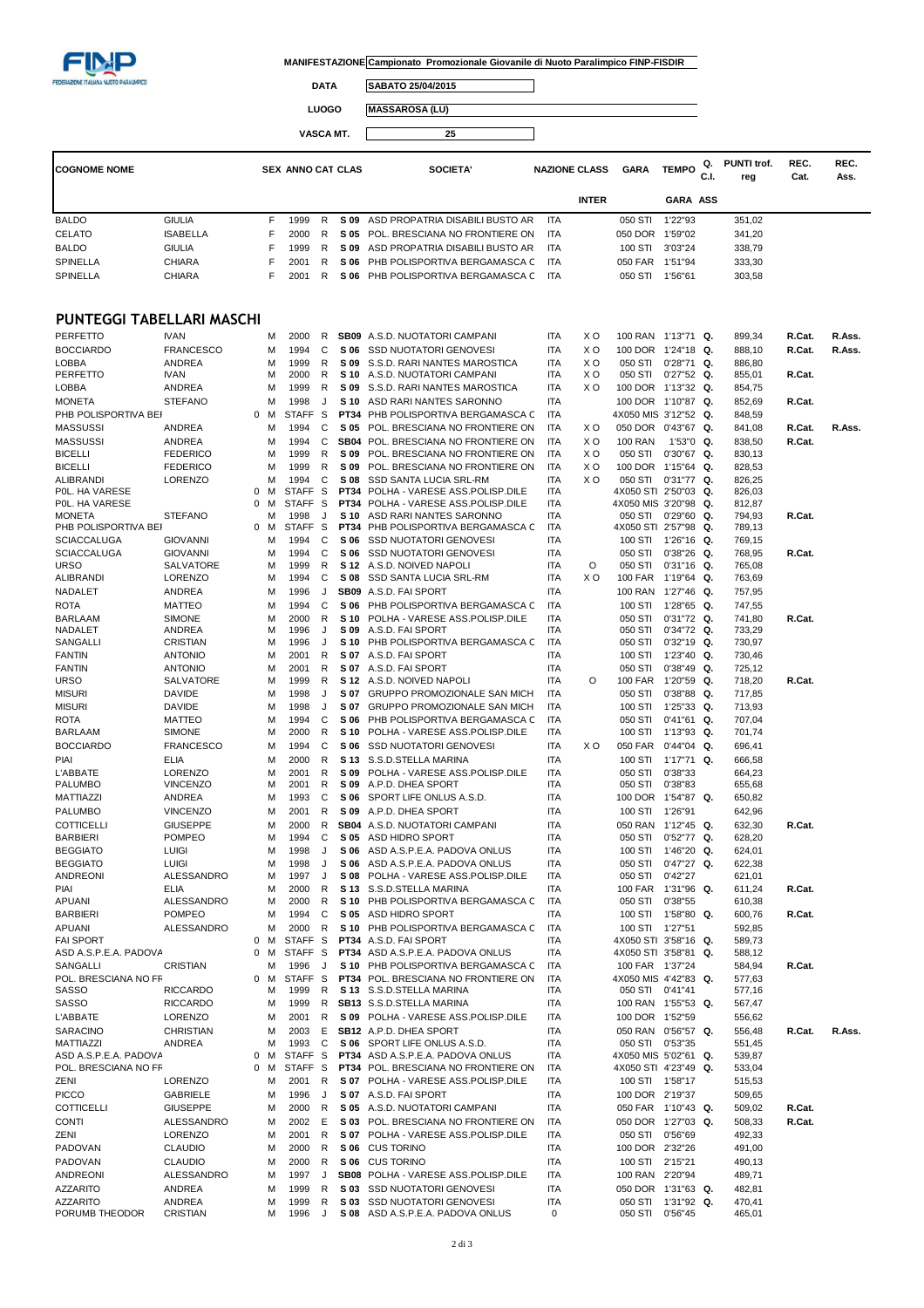

 $\Box$ 

 $\overline{\phantom{a}}$ 

**DATA SABATO 25/04/2015**

**LUOGO MASSAROSA (LU)**

**VASCA MT. 25**

| <b>COGNOME NOME</b> |                           |    | <b>SEX ANNO CAT CLAS</b> |    |      | SOCIETA'                             |            | <b>NAZIONE CLASS</b> | <b>GARA</b> | <b>TEMPO</b>    | Q.<br>C.I. | PUNTI trof.<br>reg | REC.<br>Cat. | REC.<br>Ass. |
|---------------------|---------------------------|----|--------------------------|----|------|--------------------------------------|------------|----------------------|-------------|-----------------|------------|--------------------|--------------|--------------|
|                     |                           |    |                          |    |      |                                      |            | <b>INTER</b>         |             | <b>GARA ASS</b> |            |                    |              |              |
| <b>BALDO</b>        | <b>GIULIA</b>             | F  | 1999                     | R  |      | S 09 ASD PROPATRIA DISABILI BUSTO AR | <b>ITA</b> |                      | 050 STI     | 1'22"93         |            | 351,02             |              |              |
| <b>CELATO</b>       | <b>ISABELLA</b>           | F. | 2000                     | R. | S 05 | POL. BRESCIANA NO FRONTIERE ON       | <b>ITA</b> |                      | 050 DOR     | 1'59"02         |            | 341,20             |              |              |
| <b>BALDO</b>        | <b>GIULIA</b>             | F. | 1999                     | R  | S 09 | ASD PROPATRIA DISABILI BUSTO AR      | <b>ITA</b> |                      | 100 STI     | 3'03"24         |            | 338,79             |              |              |
| <b>SPINELLA</b>     | <b>CHIARA</b>             |    | 2001                     | R. | S 06 | PHB POLISPORTIVA BERGAMASCA C        | <b>ITA</b> |                      | 050 FAR     | 1'51"94         |            | 333,30             |              |              |
| <b>SPINELLA</b>     | <b>CHIARA</b>             |    | 2001                     | R. | S 06 | PHB POLISPORTIVA BERGAMASCA C        | <b>ITA</b> |                      | 050 STI     | 1'56"61         |            | 303,58             |              |              |
|                     | PUNTEGGI TABELLARI MASCHI |    |                          |    |      |                                      |            |                      |             |                 |            |                    |              |              |
| PERFETTO            | <b>IVAN</b>               | м  | 2000                     | R  |      | <b>SB09</b> A.S.D. NUOTATORI CAMPANI | <b>ITA</b> | X O                  | 100 RAN     | 1'13"71 Q.      |            | 899,34             | R.Cat.       | R.Ass.       |
| <b>BOCCIARDO</b>    | <b>FRANCESCO</b>          | м  | 1994                     | C. | S 06 | <b>SSD NUOTATORI GENOVESI</b>        | <b>ITA</b> | X O                  | 100 DOR     | $1'24"18$ Q.    |            | 888,10             | R.Cat.       | R.Ass.       |

| PERFETTO                                      | <b>IVAN</b>        |              | м      | 2000                 | R        |              | SB09 A.S.D. NUOTATORI CAMPANI                                              | ITA               | x o | 100 RAN 1'13"71 Q.              |                          |    | 899,34           | R.Cat. | R.Ass. |
|-----------------------------------------------|--------------------|--------------|--------|----------------------|----------|--------------|----------------------------------------------------------------------------|-------------------|-----|---------------------------------|--------------------------|----|------------------|--------|--------|
| <b>BOCCIARDO</b>                              | <b>FRANCESCO</b>   |              | М      | 1994                 | С        | S 06         | <b>SSD NUOTATORI GENOVESI</b>                                              | ITA               | x o | 100 DOR 1'24"18 Q.              |                          |    | 888,10           | R.Cat. | R.Ass. |
| LOBBA                                         | ANDREA             |              | M      | 1999                 | R        | S 09         | S.S.D. RARI NANTES MAROSTICA                                               | ITA               | x o | 050 STI                         | $0'28"71$ Q.             |    | 886,80           |        |        |
| PERFETTO                                      | <b>IVAN</b>        |              | M      | 2000                 | R        | S 10         | A.S.D. NUOTATORI CAMPANI                                                   | ITA               | x o | 050 STI                         | $0'27"52$ Q.             |    | 855,01           | R.Cat. |        |
| LOBBA                                         | ANDREA             |              | M      | 1999                 | R        |              | S 09 S.S.D. RARI NANTES MAROSTICA                                          | ITA               | x o | 100 DOR 1'13"32 Q.              |                          |    | 854,75           |        |        |
| <b>MONETA</b>                                 | <b>STEFANO</b>     |              | M      | 1998                 | J        | S 10         | ASD RARI NANTES SARONNO                                                    | <b>ITA</b>        |     | 100 DOR 1'10"87 Q.              |                          |    | 852,69           | R.Cat. |        |
| PHB POLISPORTIVA BEI                          |                    | 0            | м      | <b>STAFF</b>         | -S       | PT34         | PHB POLISPORTIVA BERGAMASCA C                                              | ITA               |     | 4X050 MIS 3'12"52 Q.            |                          |    | 848,59           |        |        |
| <b>MASSUSSI</b>                               | ANDREA             |              | M      | 1994                 | C        | S 05         | POL. BRESCIANA NO FRONTIERE ON                                             | ITA               | X O | 050 DOR 0'43"67 Q.              |                          |    | 841,08           | R.Cat. | R.Ass. |
| <b>MASSUSSI</b>                               | <b>ANDREA</b>      |              | M      | 1994                 | С        |              | SB04 POL. BRESCIANA NO FRONTIERE ON                                        | <b>ITA</b>        | x o | <b>100 RAN</b>                  | $1'53'0$ Q.              |    | 838,50           | R.Cat. |        |
| <b>BICELLI</b>                                | <b>FEDERICO</b>    |              | M      | 1999                 | R        | S 09         | POL. BRESCIANA NO FRONTIERE ON                                             | ITA               | X O | 050 STI                         | $0'30''67$ Q.            |    | 830,13           |        |        |
| <b>BICELLI</b>                                | <b>FEDERICO</b>    |              | M      | 1999                 | R        | S 09         | POL. BRESCIANA NO FRONTIERE ON                                             | ITA               | x o | 100 DOR                         | 1'15"64 Q.               |    | 828,53           |        |        |
| ALIBRANDI                                     | LORENZO            |              | M      | 1994                 | C        | S 08         | SSD SANTA LUCIA SRL-RM                                                     | ITA               | x o | 050 STI                         | $0'31''77$ Q.            |    | 826,25           |        |        |
| P0L. HA VARESE                                |                    | 0            | м      | STAFF S              |          | <b>PT34</b>  | POLHA - VARESE ASS.POLISP.DILE                                             | ITA               |     | 4X050 STI 2'50"03 Q.            |                          |    | 826,03           |        |        |
| POL. HA VARESE<br><b>MONETA</b>               | <b>STEFANO</b>     | 0            | M<br>M | <b>STAFF</b><br>1998 | - S<br>J | PT34<br>S 10 | POLHA - VARESE ASS.POLISP.DILE<br>ASD RARI NANTES SARONNO                  | ITA<br>ITA        |     | 4X050 MIS 3'20"98 Q.<br>050 STI | $0'29''60$ Q.            |    | 812,87<br>794,93 | R.Cat. |        |
| PHB POLISPORTIVA BEI                          |                    | $\mathbf{0}$ | M      | STAFF <sub>S</sub>   |          |              | PT34 PHB POLISPORTIVA BERGAMASCA C                                         | ITA               |     | 4X050 STI 2'57"98 Q.            |                          |    | 789,13           |        |        |
| SCIACCALUGA                                   | <b>GIOVANNI</b>    |              | M      | 1994                 | C        | S 06         | <b>SSD NUOTATORI GENOVESI</b>                                              | ITA               |     | 100 STI                         | 1'26"16 Q.               |    | 769,15           |        |        |
| <b>SCIACCALUGA</b>                            | <b>GIOVANNI</b>    |              | M      | 1994                 | С        | S 06         | <b>SSD NUOTATORI GENOVESI</b>                                              | <b>ITA</b>        |     | 050 STI                         | $0'38''26$ Q.            |    | 768,95           | R.Cat. |        |
| <b>URSO</b>                                   | SALVATORE          |              | м      | 1999                 | R        |              | S 12 A.S.D. NOIVED NAPOLI                                                  | ITA               | O   | 050 STI                         | $0'31''16$ Q.            |    | 765,08           |        |        |
| ALIBRANDI                                     | <b>LORENZO</b>     |              | M      | 1994                 | С        | S 08         | SSD SANTA LUCIA SRL-RM                                                     | ITA               | ΧO  | 100 FAR                         | 1'19"64 Q.               |    | 763,69           |        |        |
| NADALET                                       | ANDREA             |              | M      | 1996                 | J        |              | <b>SB09</b> A.S.D. FAI SPORT                                               | <b>ITA</b>        |     | 100 RAN                         | 1'27"46 Q.               |    | 757,95           |        |        |
| <b>ROTA</b>                                   | MATTEO             |              | M      | 1994                 | С        | S 06         | PHB POLISPORTIVA BERGAMASCA C                                              | ITA               |     | 100 STI                         | 1'28"65 Q.               |    | 747,55           |        |        |
| <b>BARLAAM</b>                                | <b>SIMONE</b>      |              | M      | 2000                 | R        | S 10         | POLHA - VARESE ASS.POLISP.DILE                                             | <b>ITA</b>        |     | 050 STI                         | $0'31''72$ Q.            |    | 741,80           | R.Cat. |        |
| NADALET                                       | ANDREA             |              | M      | 1996                 | J        | S 09         | A.S.D. FAI SPORT                                                           | ITA               |     | 050 STI                         | $0'34''72$ Q.            |    | 733,29           |        |        |
| SANGALLI                                      | CRISTIAN           |              | M      | 1996                 | J        | S 10         | PHB POLISPORTIVA BERGAMASCA C                                              | ITA               |     | 050 STI                         | $0'32"19$ Q.             |    | 730,97           |        |        |
| <b>FANTIN</b>                                 | ANTONIO            |              | M      | 2001                 | R        |              | S 07 A.S.D. FAI SPORT                                                      | ITA               |     | 100 STI                         | $1'23''40$ Q.            |    | 730,46           |        |        |
| <b>FANTIN</b>                                 | <b>ANTONIO</b>     |              | M      | 2001                 | R        |              | S 07 A.S.D. FAI SPORT                                                      | <b>ITA</b>        |     | 050 STI                         | $0'38''49$ Q.            |    | 725,12           |        |        |
| <b>URSO</b>                                   | SALVATORE          |              | M      | 1999                 | R        | S 12         | A.S.D. NOIVED NAPOLI                                                       | ITA               | O   | <b>100 FAR</b>                  | 1'20"59 Q.               |    | 718,20           | R.Cat. |        |
| <b>MISURI</b>                                 | DAVIDE             |              | M      | 1998                 | J        | S 07         | GRUPPO PROMOZIONALE SAN MICH                                               | ITA               |     | 050 STI                         | $0'38''88$ Q.            |    | 717,85           |        |        |
| <b>MISURI</b>                                 | DAVIDE             |              | M      | 1998                 | J        |              | S 07 GRUPPO PROMOZIONALE SAN MICH                                          | <b>ITA</b>        |     | 100 STI                         | 1'25"33 Q.               |    | 713,93           |        |        |
| <b>ROTA</b>                                   | <b>MATTEO</b>      |              | M      | 1994                 | С        | S 06         | PHB POLISPORTIVA BERGAMASCA C                                              | ITA               |     | 050 STI                         | $0'41''61$ Q.            |    | 707,04           |        |        |
| <b>BARLAAM</b>                                | <b>SIMONE</b>      |              | M      | 2000                 | R        | S 10         | POLHA - VARESE ASS.POLISP.DILE                                             | ITA               |     | 100 STI                         | 1'13"93 Q.               |    | 701,74           |        |        |
| <b>BOCCIARDO</b>                              | <b>FRANCESCO</b>   |              | M      | 1994                 | С        | S 06         | <b>SSD NUOTATORI GENOVESI</b>                                              | ITA               | xо  | 050 FAR                         | $0'44''04$ Q.            |    | 696,41           |        |        |
| PIAI                                          | ELIA               |              | M      | 2000                 | R        | S 13         | S.S.D.STELLA MARINA                                                        | ITA               |     | 100 STI                         | 1'17"71 Q.               |    | 666,58           |        |        |
| L'ABBATE                                      | LORENZO            |              | M      | 2001                 | R        | S 09         | POLHA - VARESE ASS.POLISP.DILE                                             | ITA               |     | 050 STI                         | 0'38"33                  |    | 664,23           |        |        |
| <b>PALUMBO</b>                                | <b>VINCENZO</b>    |              | M      | 2001                 | R        |              | S 09 A.P.D. DHEA SPORT                                                     | <b>ITA</b>        |     | 050 STI                         | 0'38"83                  |    | 655,68           |        |        |
| MATTIAZZI                                     | ANDREA             |              | м      | 1993                 | С        |              | S 06 SPORT LIFE ONLUS A.S.D.                                               | ITA               |     | 100 DOR 1'54"87 Q.              |                          |    | 650,82           |        |        |
| <b>PALUMBO</b>                                | <b>VINCENZO</b>    |              | M      | 2001                 | R        | S 09         | A.P.D. DHEA SPORT                                                          | ITA               |     | 100 STI                         | 1'26"91                  |    | 642,96           |        |        |
| COTTICELLI                                    | <b>GIUSEPPE</b>    |              | M      | 2000                 | R        |              | SB04 A.S.D. NUOTATORI CAMPANI                                              | <b>ITA</b>        |     | 050 RAN                         | 1'12"45 Q.               |    | 632,30           | R.Cat. |        |
| <b>BARBIERI</b><br><b>BEGGIATO</b>            | POMPEO<br>LUIGI    |              | M<br>M | 1994<br>1998         | С<br>J   | S 06         | S 05 ASD HIDRO SPORT<br>ASD A.S.P.E.A. PADOVA ONLUS                        | <b>ITA</b><br>ITA |     | 050 STI                         | 0'52"77 Q.<br>1'46"20 Q. |    | 628,20           |        |        |
| <b>BEGGIATO</b>                               | <b>LUIGI</b>       |              | M      | 1998                 | J        | S 06         | ASD A.S.P.E.A. PADOVA ONLUS                                                | <b>ITA</b>        |     | 100 STI<br>050 STI              | 0'47"27 Q.               |    | 624,01<br>622,38 |        |        |
| ANDREONI                                      | ALESSANDRO         |              | M      | 1997                 | J        | S 08         | POLHA - VARESE ASS.POLISP.DILE                                             | ITA               |     | 050 STI                         | 0'42"27                  |    | 621,01           |        |        |
| PIAI                                          | ELIA               |              | м      | 2000                 | R        | S 13         | S.S.D.STELLA MARINA                                                        | <b>ITA</b>        |     | 100 FAR                         | 1'31"96 Q.               |    | 611,24           | R.Cat. |        |
| APUANI                                        | ALESSANDRO         |              | M      | 2000                 | R        | S 10         | PHB POLISPORTIVA BERGAMASCA C                                              | ITA               |     | 050 STI                         | 0'38"55                  |    | 610,38           |        |        |
| <b>BARBIERI</b>                               | <b>POMPEO</b>      |              | M      | 1994                 | C        | S 05         | ASD HIDRO SPORT                                                            | <b>ITA</b>        |     | 100 STI                         | 1'58"80 Q.               |    | 600,76           | R.Cat. |        |
| <b>APUANI</b>                                 | ALESSANDRO         |              | M      | 2000                 | R        | S 10         | PHB POLISPORTIVA BERGAMASCA C                                              | ITA               |     | 100 STI                         | 1'27"51                  |    | 592,85           |        |        |
| <b>FAI SPORT</b>                              |                    | 0            | M      | <b>STAFF</b>         | S        | PT34         | A.S.D. FAI SPORT                                                           | <b>ITA</b>        |     | 4X050 STI 3'58"16 Q.            |                          |    | 589,73           |        |        |
| ASD A.S.P.E.A. PADOVA                         |                    | 0            | м      | STAFF <sub>S</sub>   |          | PT34         | ASD A.S.P.E.A. PADOVA ONLUS                                                | ITA               |     | 4X050 STI 3'58"81               |                          | Q. | 588,12           |        |        |
| SANGALLI                                      | CRISTIAN           |              | м      | 1996                 | J        | S 10         | PHB POLISPORTIVA BERGAMASCA C                                              | ITA               |     | 100 FAR 1'37"24                 |                          |    | 584,94           | R.Cat. |        |
| POL. BRESCIANA NO FF                          |                    | 0            | M      | <b>STAFF</b>         | -S       | PT34         | POL. BRESCIANA NO FRONTIERE ON                                             | ITA               |     | 4X050 MIS 4'42"83               |                          | Q. | 577,63           |        |        |
| SASSO                                         | <b>RICCARDO</b>    |              | M      | 1999                 | R        |              | S 13 S.S.D.STELLA MARINA                                                   | <b>ITA</b>        |     | 050 STI                         | 0'41"41                  |    | 577,16           |        |        |
| SASSO                                         | <b>RICCARDO</b>    |              | M      | 1999                 | R        |              | SB13 S.S.D.STELLA MARINA                                                   | <b>ITA</b>        |     | 100 RAN 1'55"53 Q.              |                          |    | 567,47           |        |        |
| L'ABBATE                                      | <b>LORENZO</b>     |              | M      | 2001                 | R        |              | S 09 POLHA - VARESE ASS.POLISP.DILE                                        | <b>ITA</b>        |     | 100 DOR 1'52"59                 |                          |    | 556,62           |        |        |
| SARACINO                                      | CHRISTIAN          |              | М      | 2003                 | E        |              | <b>SB12</b> A.P.D. DHEA SPORT                                              | ITA               |     | 050 RAN 0'56"57 Q.              |                          |    | 556,48           | R.Cat. | R.Ass. |
| MATTIAZZI                                     | ANDREA             |              | M      | 1993                 | C        |              | S 06 SPORT LIFE ONLUS A.S.D.                                               | <b>ITA</b>        |     | 050 STI 0'53"35                 |                          |    | 551,45           |        |        |
| ASD A.S.P.E.A. PADOVA<br>POL. BRESCIANA NO FF |                    | 0            | м      | STAFF <sub>S</sub>   |          |              | <b>PT34</b> ASD A.S.P.E.A. PADOVA ONLUS                                    | ITA               |     | 4X050 MIS 5'02"61 Q.            |                          |    | 539,87           |        |        |
|                                               |                    | 0            | м      | STAFF <sub>S</sub>   |          |              | PT34 POL. BRESCIANA NO FRONTIERE ON<br>S 07 POLHA - VARESE ASS.POLISP.DILE | ITA               |     | 4X050 STI 4'23"49 Q.            |                          |    | 533,04           |        |        |
| ZENI                                          | LORENZO            |              | M      | 2001                 | R        |              |                                                                            | <b>ITA</b>        |     | 100 STI 1'58"17                 |                          |    | 515,53           |        |        |
| <b>PICCO</b>                                  | <b>GABRIELE</b>    |              | M      | 1996                 | J        |              | S 07 A.S.D. FAI SPORT                                                      | ITA               |     | 100 DOR 2'19"37                 |                          |    | 509,65           |        |        |
| COTTICELLI                                    | <b>GIUSEPPE</b>    |              | M      | 2000                 | R        |              | S 05 A.S.D. NUOTATORI CAMPANI                                              | ITA               |     | 050 FAR 1'10"43 Q.              |                          |    | 509,02           | R.Cat. |        |
| <b>CONTI</b>                                  | ALESSANDRO         |              | M      | 2002                 | Е        |              | S 03 POL. BRESCIANA NO FRONTIERE ON                                        | ITA               |     | 050 DOR 1'27"03 Q.              |                          |    | 508,33           | R.Cat. |        |
| ZENI                                          | LORENZO            |              | M      | 2001                 | R        |              | S 07 POLHA - VARESE ASS.POLISP.DILE                                        | ITA               |     | 050 STI                         | 0'56"69                  |    | 492,33           |        |        |
| PADOVAN                                       | CLAUDIO            |              | М      | 2000                 | R        |              | S 06 CUS TORINO                                                            | ITA               |     | 100 DOR 2'32"26                 |                          |    | 491,00           |        |        |
| PADOVAN                                       | <b>CLAUDIO</b>     |              | М      | 2000                 | R        |              | S 06 CUS TORINO                                                            | <b>ITA</b>        |     | 100 STI 2'15"21                 |                          |    | 490,13           |        |        |
| ANDREONI                                      | ALESSANDRO         |              | М      | 1997                 | J        |              | SB08 POLHA - VARESE ASS.POLISP.DILE                                        | ITA               |     | 100 RAN 2'20"94                 |                          |    | 489,71           |        |        |
| <b>AZZARITO</b>                               | ANDREA             |              | M      | 1999                 | R        |              | S 03 SSD NUOTATORI GENOVESI                                                | <b>ITA</b>        |     | 050 DOR 1'31"63 Q.              |                          |    | 482,81           |        |        |
| <b>AZZARITO</b><br>PORUMB THEODOR             | ANDREA<br>CRISTIAN |              | M<br>М | 1999<br>1996         | R<br>J   | S 03         | SSD NUOTATORI GENOVESI<br>S 08 ASD A.S.P.E.A. PADOVA ONLUS                 | <b>ITA</b><br>0   |     | 050 STI<br>050 STI              | 1'31"92 Q.<br>0'56"45    |    | 470,41<br>465,01 |        |        |
|                                               |                    |              |        |                      |          |              |                                                                            |                   |     |                                 |                          |    |                  |        |        |
|                                               |                    |              |        |                      |          |              |                                                                            |                   |     |                                 |                          |    |                  |        |        |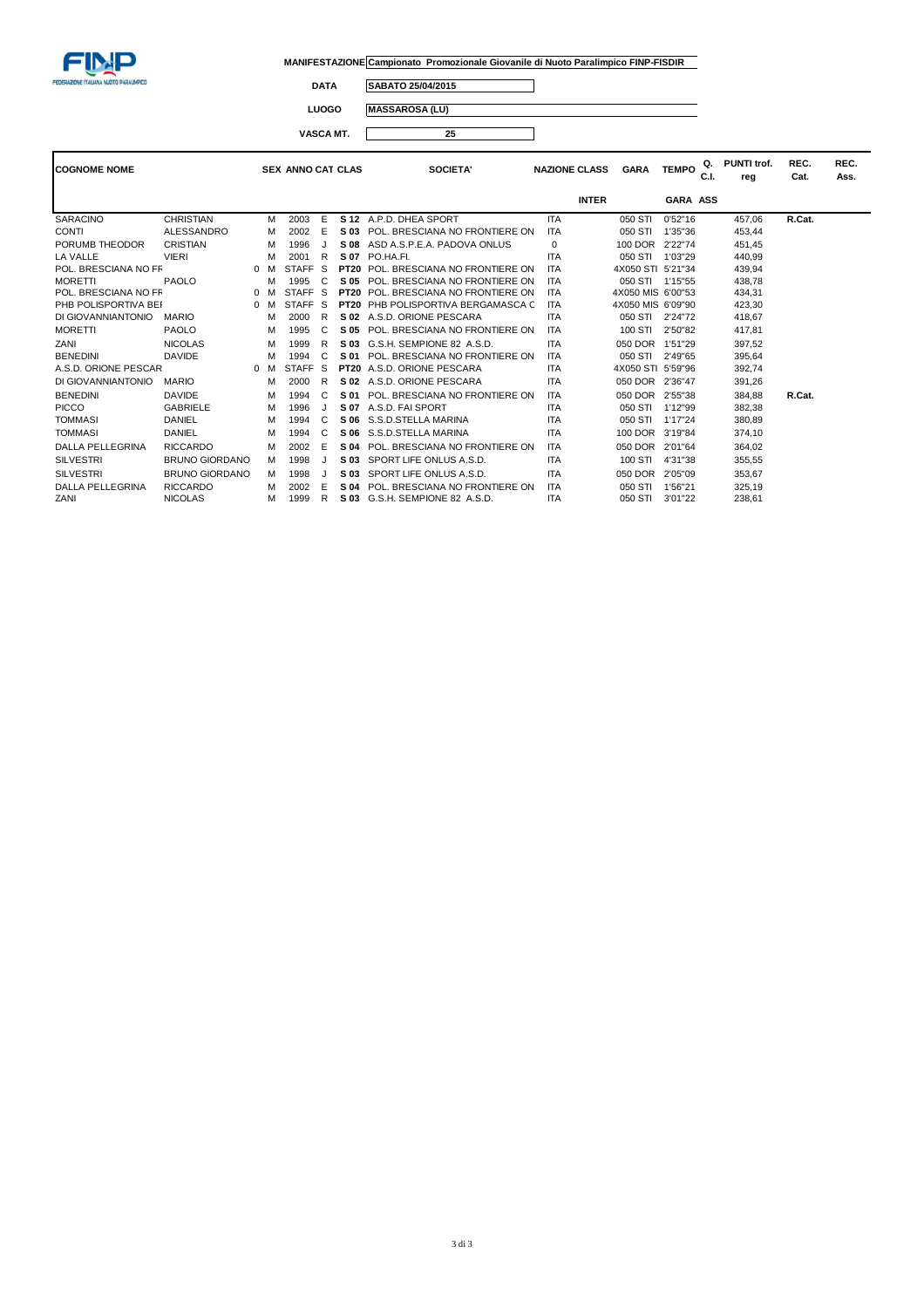

 $\overline{\phantom{0}}$ 

**DATA SABATO 25/04/2015**

**LUOGO MASSAROSA (LU) VASCA MT. 25**  $\Box$ 

| <b>COGNOME NOME</b>     |                       |              |   | <b>SEX ANNO CAT CLAS</b> |     |             | <b>SOCIETA'</b>                   |            | <b>NAZIONE CLASS</b> | <b>GARA</b>       | <b>TEMPO</b>    | Q.<br>C.I. | PUNTI trof.<br>reg | REC.<br>Cat. | REC.<br>Ass. |
|-------------------------|-----------------------|--------------|---|--------------------------|-----|-------------|-----------------------------------|------------|----------------------|-------------------|-----------------|------------|--------------------|--------------|--------------|
|                         |                       |              |   |                          |     |             |                                   |            | <b>INTER</b>         |                   | <b>GARA ASS</b> |            |                    |              |              |
| <b>SARACINO</b>         | <b>CHRISTIAN</b>      |              | м | 2003                     | E   |             | S 12 A.P.D. DHEA SPORT            | <b>ITA</b> |                      | 050 STI           | 0'52"16         |            | 457,06             | R.Cat.       |              |
| <b>CONTI</b>            | <b>ALESSANDRO</b>     |              | M | 2002                     | E   | S 03        | POL. BRESCIANA NO FRONTIERE ON    | <b>ITA</b> |                      | 050 STI           | 1'35"36         |            | 453,44             |              |              |
| PORUMB THEODOR          | <b>CRISTIAN</b>       |              | М | 1996                     |     | S 08        | ASD A.S.P.E.A. PADOVA ONLUS       | $\Omega$   |                      | 100 DOR           | 2'22"74         |            | 451,45             |              |              |
| LA VALLE                | <b>VIERI</b>          |              | M | 2001                     | - R | S 07        | PO.HA.FI.                         | <b>ITA</b> |                      | 050 STI           | 1'03"29         |            | 440,99             |              |              |
| POL. BRESCIANA NO FF    |                       | $0$ M        |   | STAFF <sub>S</sub>       |     | <b>PT20</b> | POL. BRESCIANA NO FRONTIERE ON    | <b>ITA</b> |                      | 4X050 STI 5'21"34 |                 |            | 439,94             |              |              |
| <b>MORETTI</b>          | <b>PAOLO</b>          |              | м | 1995                     | C   | S 05        | POL. BRESCIANA NO FRONTIERE ON    | <b>ITA</b> |                      | 050 STI 1'15"55   |                 |            | 438,78             |              |              |
| POL. BRESCIANA NO FF    |                       | $\mathbf{0}$ | M | STAFF <sub>S</sub>       |     | <b>PT20</b> | POL. BRESCIANA NO FRONTIERE ON    | <b>ITA</b> |                      | 4X050 MIS 6'00"53 |                 |            | 434,31             |              |              |
| PHB POLISPORTIVA BEI    |                       | $0$ M        |   | STAFF <sub>S</sub>       |     | <b>PT20</b> | PHB POLISPORTIVA BERGAMASCA C     | <b>ITA</b> |                      | 4X050 MIS 6'09"90 |                 |            | 423,30             |              |              |
| DI GIOVANNIANTONIO      | <b>MARIO</b>          |              | M | 2000                     | R   | S 02        | A.S.D. ORIONE PESCARA             | <b>ITA</b> |                      | 050 STI           | 2'24"72         |            | 418,67             |              |              |
| <b>MORETTI</b>          | <b>PAOLO</b>          |              | М | 1995                     | C   | S 05        | POL. BRESCIANA NO FRONTIERE ON    | <b>ITA</b> |                      | 100 STI           | 2'50"82         |            | 417,81             |              |              |
| ZANI                    | <b>NICOLAS</b>        |              | M | 1999                     | R   | S 03        | G.S.H. SEMPIONE 82 A.S.D.         | <b>ITA</b> |                      | 050 DOR           | 1'51"29         |            | 397,52             |              |              |
| <b>BENEDINI</b>         | <b>DAVIDE</b>         |              | M | 1994                     | C   | S 01        | POL. BRESCIANA NO FRONTIERE ON    | <b>ITA</b> |                      | 050 STI           | 2'49"65         |            | 395,64             |              |              |
| A.S.D. ORIONE PESCAR    |                       | $\mathbf{0}$ | M | STAFF <sub>S</sub>       |     |             | <b>PT20</b> A.S.D. ORIONE PESCARA | <b>ITA</b> |                      | 4X050 STI 5'59"96 |                 |            | 392,74             |              |              |
| DI GIOVANNIANTONIO      | <b>MARIO</b>          |              | М | 2000                     | R   | S 02        | A.S.D. ORIONE PESCARA             | <b>ITA</b> |                      | 050 DOR 2'36"47   |                 |            | 391,26             |              |              |
| <b>BENEDINI</b>         | <b>DAVIDE</b>         |              | М | 1994                     | C   | S 01        | POL. BRESCIANA NO FRONTIERE ON    | <b>ITA</b> |                      | 050 DOR           | 2'55"38         |            | 384.88             | R.Cat.       |              |
| <b>PICCO</b>            | <b>GABRIELE</b>       |              | M | 1996                     | J   | S 07        | A.S.D. FAI SPORT                  | <b>ITA</b> |                      | 050 STI           | 1'12"99         |            | 382,38             |              |              |
| <b>TOMMASI</b>          | DANIEL                |              | М | 1994                     | C   | S 06        | S.S.D.STELLA MARINA               | <b>ITA</b> |                      | 050 STI           | 1'17"24         |            | 380,89             |              |              |
| <b>TOMMASI</b>          | DANIEL                |              | M | 1994                     | C   | S 06        | S.S.D.STELLA MARINA               | <b>ITA</b> |                      | 100 DOR           | 3'19"84         |            | 374,10             |              |              |
| <b>DALLA PELLEGRINA</b> | <b>RICCARDO</b>       |              | M | 2002                     | E   | S 04        | POL. BRESCIANA NO FRONTIERE ON    | <b>ITA</b> |                      | 050 DOR           | 2'01"64         |            | 364,02             |              |              |
| <b>SILVESTRI</b>        | <b>BRUNO GIORDANO</b> |              | м | 1998                     |     | S 03        | SPORT LIFE ONLUS A.S.D.           | <b>ITA</b> |                      | 100 STI           | 4'31"38         |            | 355,55             |              |              |
| <b>SILVESTRI</b>        | <b>BRUNO GIORDANO</b> |              | М | 1998                     |     | S 03        | SPORT LIFE ONLUS A.S.D.           | <b>ITA</b> |                      | 050 DOR           | 2'05"09         |            | 353,67             |              |              |
| <b>DALLA PELLEGRINA</b> | <b>RICCARDO</b>       |              | м | 2002                     | E   | S 04        | POL. BRESCIANA NO FRONTIERE ON    | <b>ITA</b> |                      | 050 STI           | 1'56"21         |            | 325,19             |              |              |
| ZANI                    | <b>NICOLAS</b>        |              | м | 1999                     | R   | S 03        | G.S.H. SEMPIONE 82 A.S.D.         | <b>ITA</b> |                      | 050 STI           | 3'01"22         |            | 238,61             |              |              |